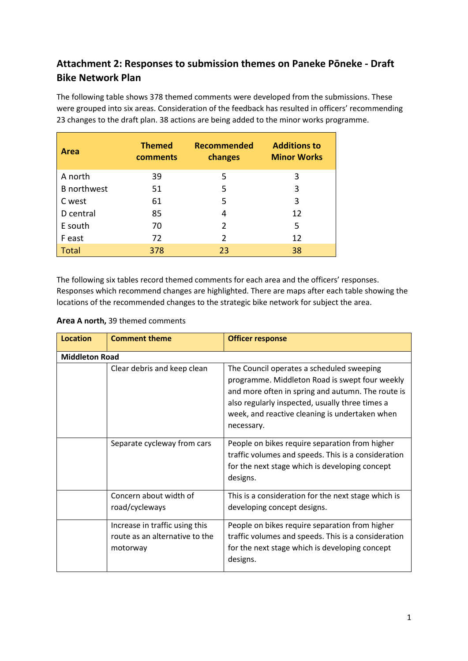# **Attachment 2: Responses to submission themes on Paneke Pōneke - Draft Bike Network Plan**

The following table shows 378 themed comments were developed from the submissions. These were grouped into six areas. Consideration of the feedback has resulted in officers' recommending 23 changes to the draft plan. 38 actions are being added to the minor works programme.

| Area               | <b>Themed</b><br>comments | <b>Recommended</b><br>changes | <b>Additions to</b><br><b>Minor Works</b> |
|--------------------|---------------------------|-------------------------------|-------------------------------------------|
| A north            | 39                        | 5                             | 3                                         |
| <b>B</b> northwest | 51                        | 5                             | 3                                         |
| C west             | 61                        | 5                             | 3                                         |
| D central          | 85                        | 4                             | 12                                        |
| E south            | 70                        | 2                             | 5                                         |
| F east             | 72                        | $\mathcal{P}$                 | 12                                        |
| Total              | 378                       | 23                            | 38                                        |

The following six tables record themed comments for each area and the officers' responses. Responses which recommend changes are highlighted. There are maps after each table showing the locations of the recommended changes to the strategic bike network for subject the area.

Ĭ.

| <b>Location</b>       | <b>Comment theme</b>                                                         | <b>Officer response</b>                                                                                                                                                                                                                                             |
|-----------------------|------------------------------------------------------------------------------|---------------------------------------------------------------------------------------------------------------------------------------------------------------------------------------------------------------------------------------------------------------------|
| <b>Middleton Road</b> |                                                                              |                                                                                                                                                                                                                                                                     |
|                       | Clear debris and keep clean                                                  | The Council operates a scheduled sweeping<br>programme. Middleton Road is swept four weekly<br>and more often in spring and autumn. The route is<br>also regularly inspected, usually three times a<br>week, and reactive cleaning is undertaken when<br>necessary. |
|                       | Separate cycleway from cars                                                  | People on bikes require separation from higher<br>traffic volumes and speeds. This is a consideration<br>for the next stage which is developing concept<br>designs.                                                                                                 |
|                       | Concern about width of<br>road/cycleways                                     | This is a consideration for the next stage which is<br>developing concept designs.                                                                                                                                                                                  |
|                       | Increase in traffic using this<br>route as an alternative to the<br>motorway | People on bikes require separation from higher<br>traffic volumes and speeds. This is a consideration<br>for the next stage which is developing concept<br>designs.                                                                                                 |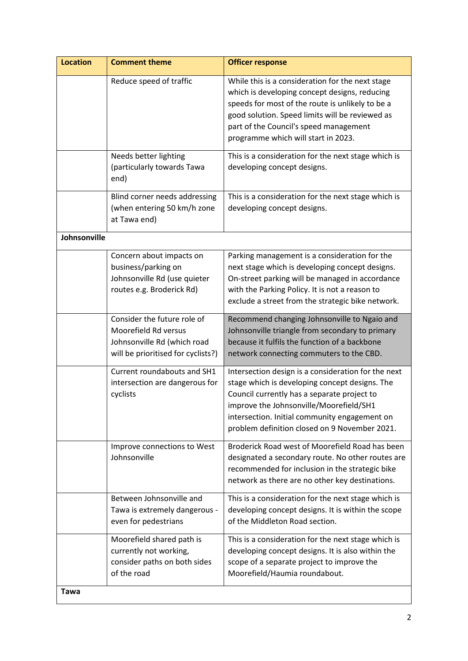| <b>Location</b> | <b>Comment theme</b>                                                                                                     | <b>Officer response</b>                                                                                                                                                                                                                                                                           |
|-----------------|--------------------------------------------------------------------------------------------------------------------------|---------------------------------------------------------------------------------------------------------------------------------------------------------------------------------------------------------------------------------------------------------------------------------------------------|
|                 | Reduce speed of traffic                                                                                                  | While this is a consideration for the next stage<br>which is developing concept designs, reducing<br>speeds for most of the route is unlikely to be a<br>good solution. Speed limits will be reviewed as<br>part of the Council's speed management<br>programme which will start in 2023.         |
|                 | Needs better lighting<br>(particularly towards Tawa<br>end)                                                              | This is a consideration for the next stage which is<br>developing concept designs.                                                                                                                                                                                                                |
|                 | Blind corner needs addressing<br>(when entering 50 km/h zone<br>at Tawa end)                                             | This is a consideration for the next stage which is<br>developing concept designs.                                                                                                                                                                                                                |
| Johnsonville    |                                                                                                                          |                                                                                                                                                                                                                                                                                                   |
|                 | Concern about impacts on<br>business/parking on<br>Johnsonville Rd (use quieter<br>routes e.g. Broderick Rd)             | Parking management is a consideration for the<br>next stage which is developing concept designs.<br>On-street parking will be managed in accordance<br>with the Parking Policy. It is not a reason to<br>exclude a street from the strategic bike network.                                        |
|                 | Consider the future role of<br>Moorefield Rd versus<br>Johnsonville Rd (which road<br>will be prioritised for cyclists?) | Recommend changing Johnsonville to Ngaio and<br>Johnsonville triangle from secondary to primary<br>because it fulfils the function of a backbone<br>network connecting commuters to the CBD.                                                                                                      |
|                 | Current roundabouts and SH1<br>intersection are dangerous for<br>cyclists                                                | Intersection design is a consideration for the next<br>stage which is developing concept designs. The<br>Council currently has a separate project to<br>improve the Johnsonville/Moorefield/SH1<br>intersection. Initial community engagement on<br>problem definition closed on 9 November 2021. |
|                 | Improve connections to West<br>Johnsonville                                                                              | Broderick Road west of Moorefield Road has been<br>designated a secondary route. No other routes are<br>recommended for inclusion in the strategic bike<br>network as there are no other key destinations.                                                                                        |
|                 | Between Johnsonville and<br>Tawa is extremely dangerous -<br>even for pedestrians                                        | This is a consideration for the next stage which is<br>developing concept designs. It is within the scope<br>of the Middleton Road section.                                                                                                                                                       |
|                 | Moorefield shared path is<br>currently not working,<br>consider paths on both sides<br>of the road                       | This is a consideration for the next stage which is<br>developing concept designs. It is also within the<br>scope of a separate project to improve the<br>Moorefield/Haumia roundabout.                                                                                                           |
| Tawa            |                                                                                                                          |                                                                                                                                                                                                                                                                                                   |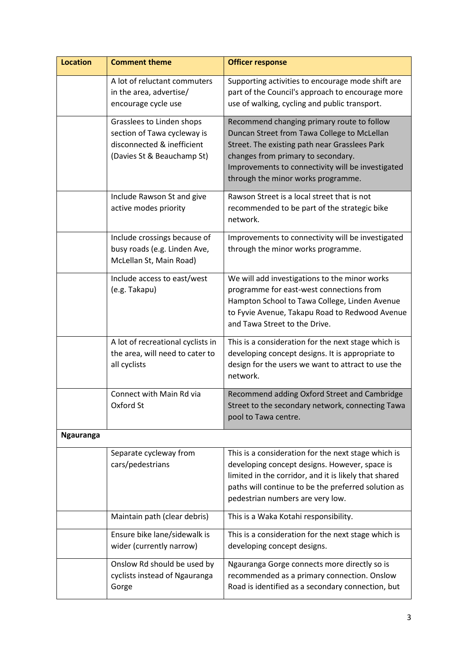| <b>Location</b>  | <b>Comment theme</b>                                                                                                 | <b>Officer response</b>                                                                                                                                                                                                                                                     |
|------------------|----------------------------------------------------------------------------------------------------------------------|-----------------------------------------------------------------------------------------------------------------------------------------------------------------------------------------------------------------------------------------------------------------------------|
|                  | A lot of reluctant commuters<br>in the area, advertise/<br>encourage cycle use                                       | Supporting activities to encourage mode shift are<br>part of the Council's approach to encourage more<br>use of walking, cycling and public transport.                                                                                                                      |
|                  | Grasslees to Linden shops<br>section of Tawa cycleway is<br>disconnected & inefficient<br>(Davies St & Beauchamp St) | Recommend changing primary route to follow<br>Duncan Street from Tawa College to McLellan<br>Street. The existing path near Grasslees Park<br>changes from primary to secondary.<br>Improvements to connectivity will be investigated<br>through the minor works programme. |
|                  | Include Rawson St and give<br>active modes priority                                                                  | Rawson Street is a local street that is not<br>recommended to be part of the strategic bike<br>network.                                                                                                                                                                     |
|                  | Include crossings because of<br>busy roads (e.g. Linden Ave,<br>McLellan St, Main Road)                              | Improvements to connectivity will be investigated<br>through the minor works programme.                                                                                                                                                                                     |
|                  | Include access to east/west<br>(e.g. Takapu)                                                                         | We will add investigations to the minor works<br>programme for east-west connections from<br>Hampton School to Tawa College, Linden Avenue<br>to Fyvie Avenue, Takapu Road to Redwood Avenue<br>and Tawa Street to the Drive.                                               |
|                  | A lot of recreational cyclists in<br>the area, will need to cater to<br>all cyclists                                 | This is a consideration for the next stage which is<br>developing concept designs. It is appropriate to<br>design for the users we want to attract to use the<br>network.                                                                                                   |
|                  | Connect with Main Rd via<br>Oxford St                                                                                | Recommend adding Oxford Street and Cambridge<br>Street to the secondary network, connecting Tawa<br>pool to Tawa centre.                                                                                                                                                    |
| <b>Ngauranga</b> |                                                                                                                      |                                                                                                                                                                                                                                                                             |
|                  | Separate cycleway from<br>cars/pedestrians                                                                           | This is a consideration for the next stage which is<br>developing concept designs. However, space is<br>limited in the corridor, and it is likely that shared<br>paths will continue to be the preferred solution as<br>pedestrian numbers are very low.                    |
|                  | Maintain path (clear debris)                                                                                         | This is a Waka Kotahi responsibility.                                                                                                                                                                                                                                       |
|                  | Ensure bike lane/sidewalk is<br>wider (currently narrow)                                                             | This is a consideration for the next stage which is<br>developing concept designs.                                                                                                                                                                                          |
|                  | Onslow Rd should be used by<br>cyclists instead of Ngauranga<br>Gorge                                                | Ngauranga Gorge connects more directly so is<br>recommended as a primary connection. Onslow<br>Road is identified as a secondary connection, but                                                                                                                            |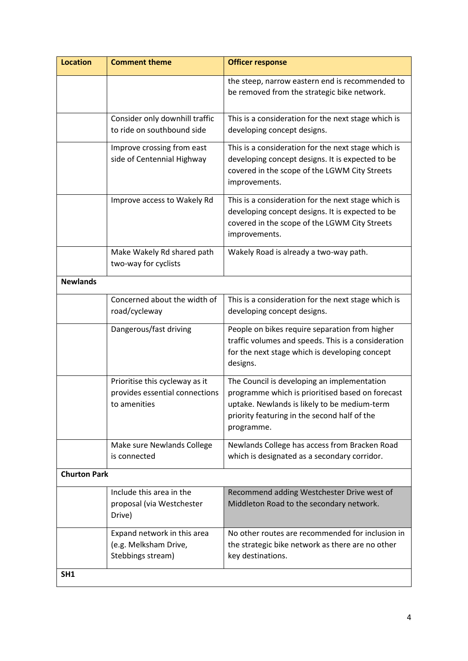| <b>Location</b>     | <b>Comment theme</b>                                                             | <b>Officer response</b>                                                                                                                                                                                       |
|---------------------|----------------------------------------------------------------------------------|---------------------------------------------------------------------------------------------------------------------------------------------------------------------------------------------------------------|
|                     |                                                                                  | the steep, narrow eastern end is recommended to<br>be removed from the strategic bike network.                                                                                                                |
|                     | Consider only downhill traffic                                                   | This is a consideration for the next stage which is                                                                                                                                                           |
|                     | to ride on southbound side                                                       | developing concept designs.                                                                                                                                                                                   |
|                     | Improve crossing from east<br>side of Centennial Highway                         | This is a consideration for the next stage which is<br>developing concept designs. It is expected to be<br>covered in the scope of the LGWM City Streets<br>improvements.                                     |
|                     | Improve access to Wakely Rd                                                      | This is a consideration for the next stage which is<br>developing concept designs. It is expected to be<br>covered in the scope of the LGWM City Streets<br>improvements.                                     |
|                     | Make Wakely Rd shared path<br>two-way for cyclists                               | Wakely Road is already a two-way path.                                                                                                                                                                        |
| <b>Newlands</b>     |                                                                                  |                                                                                                                                                                                                               |
|                     | Concerned about the width of<br>road/cycleway                                    | This is a consideration for the next stage which is<br>developing concept designs.                                                                                                                            |
|                     | Dangerous/fast driving                                                           | People on bikes require separation from higher<br>traffic volumes and speeds. This is a consideration<br>for the next stage which is developing concept<br>designs.                                           |
|                     | Prioritise this cycleway as it<br>provides essential connections<br>to amenities | The Council is developing an implementation<br>programme which is prioritised based on forecast<br>uptake. Newlands is likely to be medium-term<br>priority featuring in the second half of the<br>programme. |
|                     | Make sure Newlands College<br>is connected                                       | Newlands College has access from Bracken Road<br>which is designated as a secondary corridor.                                                                                                                 |
| <b>Churton Park</b> |                                                                                  |                                                                                                                                                                                                               |
|                     | Include this area in the<br>proposal (via Westchester<br>Drive)                  | Recommend adding Westchester Drive west of<br>Middleton Road to the secondary network.                                                                                                                        |
|                     | Expand network in this area<br>(e.g. Melksham Drive,<br>Stebbings stream)        | No other routes are recommended for inclusion in<br>the strategic bike network as there are no other<br>key destinations.                                                                                     |
| SH1                 |                                                                                  |                                                                                                                                                                                                               |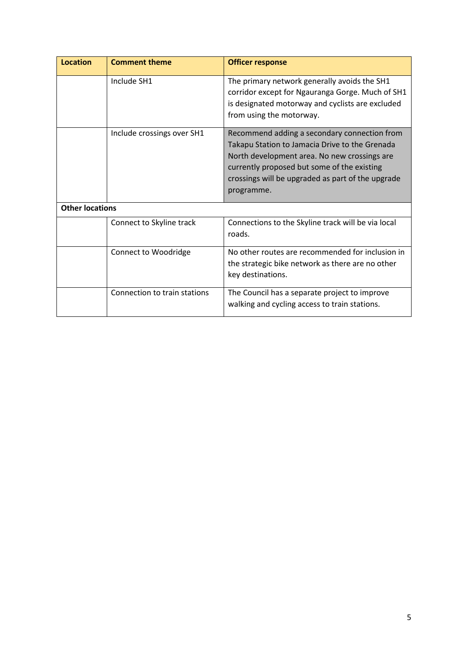| <b>Location</b>        | <b>Comment theme</b>         | <b>Officer response</b>                                                                                                                                                                                                                                          |
|------------------------|------------------------------|------------------------------------------------------------------------------------------------------------------------------------------------------------------------------------------------------------------------------------------------------------------|
|                        | Include SH1                  | The primary network generally avoids the SH1<br>corridor except for Ngauranga Gorge. Much of SH1<br>is designated motorway and cyclists are excluded<br>from using the motorway.                                                                                 |
|                        | Include crossings over SH1   | Recommend adding a secondary connection from<br>Takapu Station to Jamacia Drive to the Grenada<br>North development area. No new crossings are<br>currently proposed but some of the existing<br>crossings will be upgraded as part of the upgrade<br>programme. |
| <b>Other locations</b> |                              |                                                                                                                                                                                                                                                                  |
|                        | Connect to Skyline track     | Connections to the Skyline track will be via local<br>roads.                                                                                                                                                                                                     |
|                        | <b>Connect to Woodridge</b>  | No other routes are recommended for inclusion in<br>the strategic bike network as there are no other<br>key destinations.                                                                                                                                        |
|                        | Connection to train stations | The Council has a separate project to improve<br>walking and cycling access to train stations.                                                                                                                                                                   |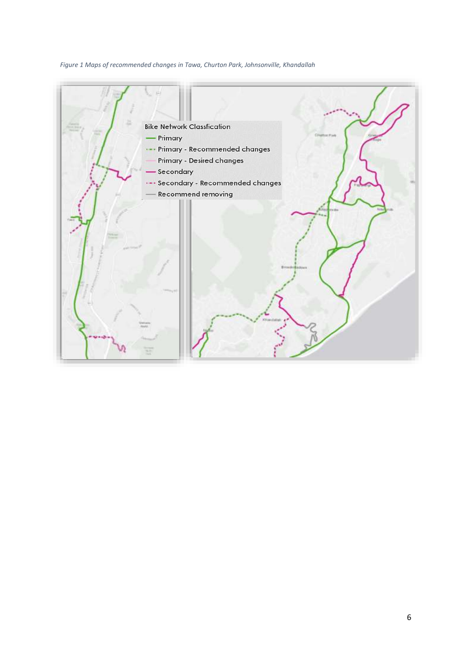### *Figure 1 Maps of recommended changes in Tawa, Churton Park, Johnsonville, Khandallah*

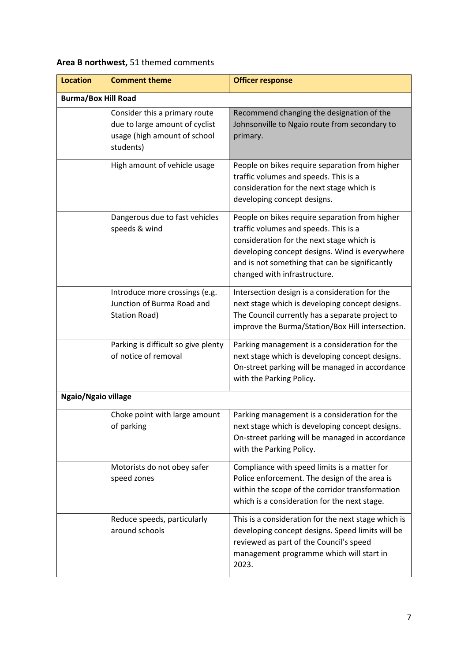#### **Location** Comment theme **COMEN COMENT** COMMENT **Burma/Box Hill Road** Consider this a primary route due to large amount of cyclist usage (high amount of school students) Recommend changing the designation of the Johnsonville to Ngaio route from secondary to primary. High amount of vehicle usage  $\vert$  People on bikes require separation from higher traffic volumes and speeds. This is a consideration for the next stage which is developing concept designs. Dangerous due to fast vehicles speeds & wind People on bikes require separation from higher traffic volumes and speeds. This is a consideration for the next stage which is developing concept designs. Wind is everywhere and is not something that can be significantly changed with infrastructure. Introduce more crossings (e.g. Junction of Burma Road and Station Road) Intersection design is a consideration for the next stage which is developing concept designs. The Council currently has a separate project to improve the Burma/Station/Box Hill intersection. Parking is difficult so give plenty of notice of removal Parking management is a consideration for the next stage which is developing concept designs. On-street parking will be managed in accordance with the Parking Policy. **Ngaio/Ngaio village** Choke point with large amount of parking Parking management is a consideration for the next stage which is developing concept designs. On-street parking will be managed in accordance with the Parking Policy. Motorists do not obey safer speed zones Compliance with speed limits is a matter for Police enforcement. The design of the area is within the scope of the corridor transformation which is a consideration for the next stage. Reduce speeds, particularly around schools This is a consideration for the next stage which is developing concept designs. Speed limits will be reviewed as part of the Council's speed management programme which will start in 2023.

### **Area B northwest,** 51 themed comments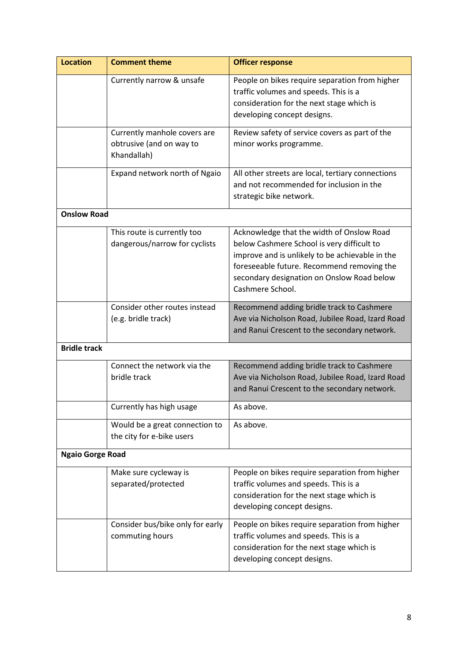| <b>Location</b>         | <b>Comment theme</b>                                                    | <b>Officer response</b>                                                                                                                                                                                                                                    |
|-------------------------|-------------------------------------------------------------------------|------------------------------------------------------------------------------------------------------------------------------------------------------------------------------------------------------------------------------------------------------------|
|                         | Currently narrow & unsafe                                               | People on bikes require separation from higher<br>traffic volumes and speeds. This is a<br>consideration for the next stage which is<br>developing concept designs.                                                                                        |
|                         | Currently manhole covers are<br>obtrusive (and on way to<br>Khandallah) | Review safety of service covers as part of the<br>minor works programme.                                                                                                                                                                                   |
|                         | Expand network north of Ngaio                                           | All other streets are local, tertiary connections<br>and not recommended for inclusion in the<br>strategic bike network.                                                                                                                                   |
| <b>Onslow Road</b>      |                                                                         |                                                                                                                                                                                                                                                            |
|                         | This route is currently too<br>dangerous/narrow for cyclists            | Acknowledge that the width of Onslow Road<br>below Cashmere School is very difficult to<br>improve and is unlikely to be achievable in the<br>foreseeable future. Recommend removing the<br>secondary designation on Onslow Road below<br>Cashmere School. |
|                         | Consider other routes instead<br>(e.g. bridle track)                    | Recommend adding bridle track to Cashmere<br>Ave via Nicholson Road, Jubilee Road, Izard Road<br>and Ranui Crescent to the secondary network.                                                                                                              |
| <b>Bridle track</b>     |                                                                         |                                                                                                                                                                                                                                                            |
|                         | Connect the network via the<br>bridle track                             | Recommend adding bridle track to Cashmere<br>Ave via Nicholson Road, Jubilee Road, Izard Road<br>and Ranui Crescent to the secondary network.                                                                                                              |
|                         | Currently has high usage                                                | As above.                                                                                                                                                                                                                                                  |
|                         | Would be a great connection to<br>the city for e-bike users             | As above.                                                                                                                                                                                                                                                  |
| <b>Ngaio Gorge Road</b> |                                                                         |                                                                                                                                                                                                                                                            |
|                         | Make sure cycleway is<br>separated/protected                            | People on bikes require separation from higher<br>traffic volumes and speeds. This is a<br>consideration for the next stage which is<br>developing concept designs.                                                                                        |
|                         | Consider bus/bike only for early<br>commuting hours                     | People on bikes require separation from higher<br>traffic volumes and speeds. This is a<br>consideration for the next stage which is<br>developing concept designs.                                                                                        |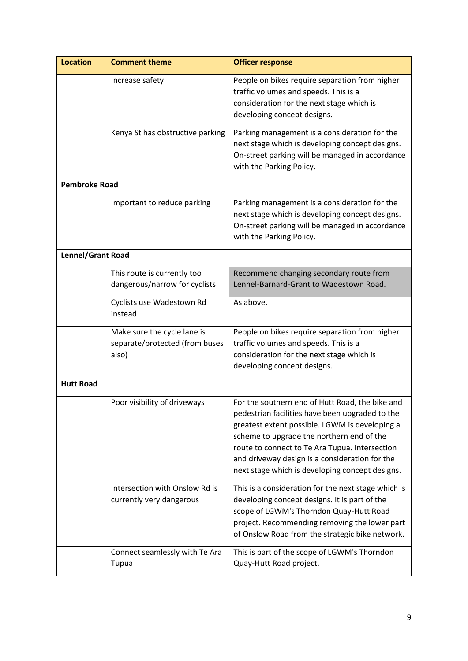| <b>Location</b>      | <b>Comment theme</b>                                                   | <b>Officer response</b>                                                                                                                                                                                                                                                                                                                                  |
|----------------------|------------------------------------------------------------------------|----------------------------------------------------------------------------------------------------------------------------------------------------------------------------------------------------------------------------------------------------------------------------------------------------------------------------------------------------------|
|                      | Increase safety                                                        | People on bikes require separation from higher<br>traffic volumes and speeds. This is a<br>consideration for the next stage which is<br>developing concept designs.                                                                                                                                                                                      |
|                      | Kenya St has obstructive parking                                       | Parking management is a consideration for the<br>next stage which is developing concept designs.<br>On-street parking will be managed in accordance<br>with the Parking Policy.                                                                                                                                                                          |
| <b>Pembroke Road</b> |                                                                        |                                                                                                                                                                                                                                                                                                                                                          |
|                      | Important to reduce parking                                            | Parking management is a consideration for the<br>next stage which is developing concept designs.<br>On-street parking will be managed in accordance<br>with the Parking Policy.                                                                                                                                                                          |
| Lennel/Grant Road    |                                                                        |                                                                                                                                                                                                                                                                                                                                                          |
|                      | This route is currently too<br>dangerous/narrow for cyclists           | Recommend changing secondary route from<br>Lennel-Barnard-Grant to Wadestown Road.                                                                                                                                                                                                                                                                       |
|                      | Cyclists use Wadestown Rd<br>instead                                   | As above.                                                                                                                                                                                                                                                                                                                                                |
|                      | Make sure the cycle lane is<br>separate/protected (from buses<br>also) | People on bikes require separation from higher<br>traffic volumes and speeds. This is a<br>consideration for the next stage which is<br>developing concept designs.                                                                                                                                                                                      |
| <b>Hutt Road</b>     |                                                                        |                                                                                                                                                                                                                                                                                                                                                          |
|                      | Poor visibility of driveways                                           | For the southern end of Hutt Road, the bike and<br>pedestrian facilities have been upgraded to the<br>greatest extent possible. LGWM is developing a<br>scheme to upgrade the northern end of the<br>route to connect to Te Ara Tupua. Intersection<br>and driveway design is a consideration for the<br>next stage which is developing concept designs. |
|                      | Intersection with Onslow Rd is<br>currently very dangerous             | This is a consideration for the next stage which is<br>developing concept designs. It is part of the<br>scope of LGWM's Thorndon Quay-Hutt Road<br>project. Recommending removing the lower part<br>of Onslow Road from the strategic bike network.                                                                                                      |
|                      | Connect seamlessly with Te Ara<br>Tupua                                | This is part of the scope of LGWM's Thorndon<br>Quay-Hutt Road project.                                                                                                                                                                                                                                                                                  |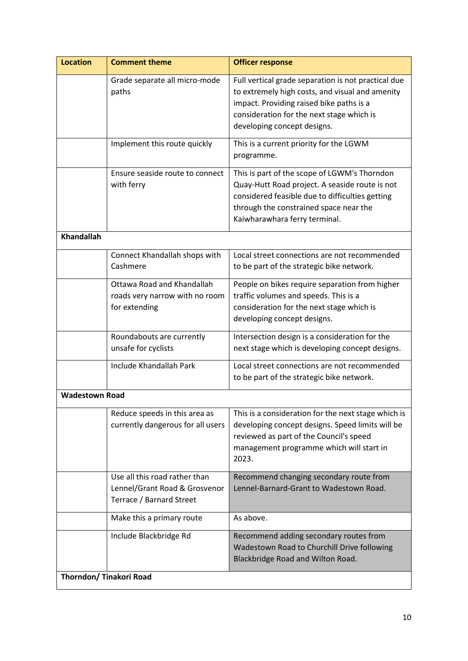| <b>Location</b>         | <b>Comment theme</b>                                                                       | <b>Officer response</b>                                                                                                                                                                                                        |
|-------------------------|--------------------------------------------------------------------------------------------|--------------------------------------------------------------------------------------------------------------------------------------------------------------------------------------------------------------------------------|
|                         | Grade separate all micro-mode<br>paths                                                     | Full vertical grade separation is not practical due<br>to extremely high costs, and visual and amenity<br>impact. Providing raised bike paths is a<br>consideration for the next stage which is<br>developing concept designs. |
|                         | Implement this route quickly                                                               | This is a current priority for the LGWM<br>programme.                                                                                                                                                                          |
|                         | Ensure seaside route to connect<br>with ferry                                              | This is part of the scope of LGWM's Thorndon<br>Quay-Hutt Road project. A seaside route is not<br>considered feasible due to difficulties getting<br>through the constrained space near the<br>Kaiwharawhara ferry terminal.   |
| <b>Khandallah</b>       |                                                                                            |                                                                                                                                                                                                                                |
|                         | Connect Khandallah shops with<br>Cashmere                                                  | Local street connections are not recommended<br>to be part of the strategic bike network.                                                                                                                                      |
|                         | Ottawa Road and Khandallah<br>roads very narrow with no room<br>for extending              | People on bikes require separation from higher<br>traffic volumes and speeds. This is a<br>consideration for the next stage which is<br>developing concept designs.                                                            |
|                         | Roundabouts are currently<br>unsafe for cyclists                                           | Intersection design is a consideration for the<br>next stage which is developing concept designs.                                                                                                                              |
|                         | Include Khandallah Park                                                                    | Local street connections are not recommended<br>to be part of the strategic bike network.                                                                                                                                      |
| <b>Wadestown Road</b>   |                                                                                            |                                                                                                                                                                                                                                |
|                         | Reduce speeds in this area as<br>currently dangerous for all users                         | This is a consideration for the next stage which is<br>developing concept designs. Speed limits will be<br>reviewed as part of the Council's speed<br>management programme which will start in<br>2023.                        |
|                         | Use all this road rather than<br>Lennel/Grant Road & Grosvenor<br>Terrace / Barnard Street | Recommend changing secondary route from<br>Lennel-Barnard-Grant to Wadestown Road.                                                                                                                                             |
|                         | Make this a primary route                                                                  | As above.                                                                                                                                                                                                                      |
|                         | Include Blackbridge Rd                                                                     | Recommend adding secondary routes from<br>Wadestown Road to Churchill Drive following<br>Blackbridge Road and Wilton Road.                                                                                                     |
| Thorndon/ Tinakori Road |                                                                                            |                                                                                                                                                                                                                                |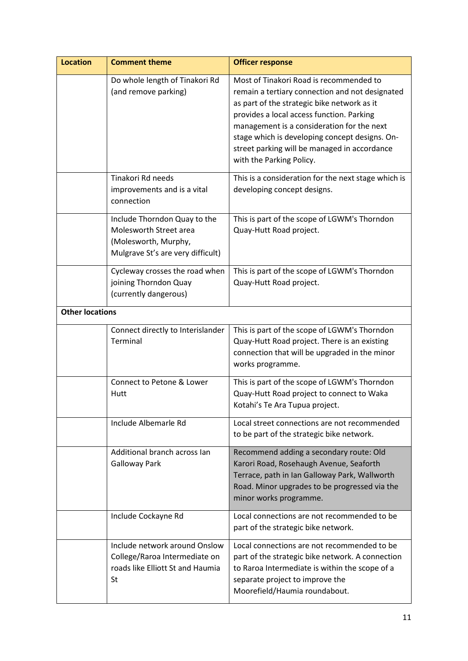| <b>Location</b>        | <b>Comment theme</b>                                                                                                | <b>Officer response</b>                                                                                                                                                                                                                                                                                                                                            |
|------------------------|---------------------------------------------------------------------------------------------------------------------|--------------------------------------------------------------------------------------------------------------------------------------------------------------------------------------------------------------------------------------------------------------------------------------------------------------------------------------------------------------------|
|                        | Do whole length of Tinakori Rd<br>(and remove parking)                                                              | Most of Tinakori Road is recommended to<br>remain a tertiary connection and not designated<br>as part of the strategic bike network as it<br>provides a local access function. Parking<br>management is a consideration for the next<br>stage which is developing concept designs. On-<br>street parking will be managed in accordance<br>with the Parking Policy. |
|                        | Tinakori Rd needs<br>improvements and is a vital<br>connection                                                      | This is a consideration for the next stage which is<br>developing concept designs.                                                                                                                                                                                                                                                                                 |
|                        | Include Thorndon Quay to the<br>Molesworth Street area<br>(Molesworth, Murphy,<br>Mulgrave St's are very difficult) | This is part of the scope of LGWM's Thorndon<br>Quay-Hutt Road project.                                                                                                                                                                                                                                                                                            |
|                        | Cycleway crosses the road when<br>joining Thorndon Quay<br>(currently dangerous)                                    | This is part of the scope of LGWM's Thorndon<br>Quay-Hutt Road project.                                                                                                                                                                                                                                                                                            |
| <b>Other locations</b> |                                                                                                                     |                                                                                                                                                                                                                                                                                                                                                                    |
|                        | Connect directly to Interislander<br>Terminal                                                                       | This is part of the scope of LGWM's Thorndon<br>Quay-Hutt Road project. There is an existing<br>connection that will be upgraded in the minor<br>works programme.                                                                                                                                                                                                  |
|                        | Connect to Petone & Lower<br>Hutt                                                                                   | This is part of the scope of LGWM's Thorndon<br>Quay-Hutt Road project to connect to Waka<br>Kotahi's Te Ara Tupua project.                                                                                                                                                                                                                                        |
|                        | Include Albemarle Rd                                                                                                | Local street connections are not recommended<br>to be part of the strategic bike network.                                                                                                                                                                                                                                                                          |
|                        | Additional branch across Ian<br><b>Galloway Park</b>                                                                | Recommend adding a secondary route: Old<br>Karori Road, Rosehaugh Avenue, Seaforth<br>Terrace, path in Ian Galloway Park, Wallworth<br>Road. Minor upgrades to be progressed via the<br>minor works programme.                                                                                                                                                     |
|                        | Include Cockayne Rd                                                                                                 | Local connections are not recommended to be<br>part of the strategic bike network.                                                                                                                                                                                                                                                                                 |
|                        | Include network around Onslow<br>College/Raroa Intermediate on<br>roads like Elliott St and Haumia<br>St            | Local connections are not recommended to be<br>part of the strategic bike network. A connection<br>to Raroa Intermediate is within the scope of a<br>separate project to improve the<br>Moorefield/Haumia roundabout.                                                                                                                                              |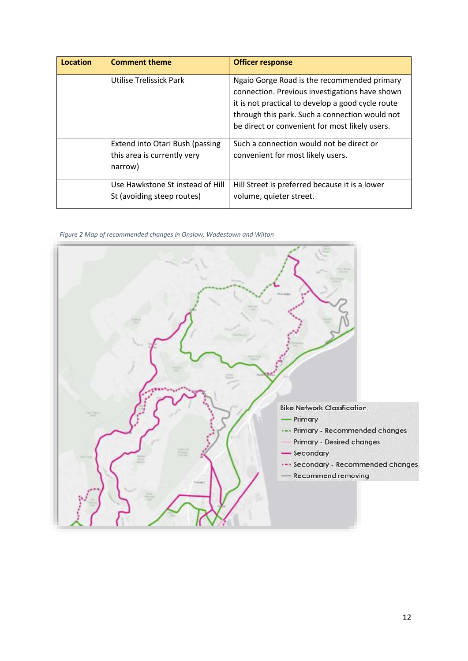| Location | <b>Comment theme</b>                                                      | <b>Officer response</b>                                                                                                                                                                                                                                |
|----------|---------------------------------------------------------------------------|--------------------------------------------------------------------------------------------------------------------------------------------------------------------------------------------------------------------------------------------------------|
|          | Utilise Trelissick Park                                                   | Ngaio Gorge Road is the recommended primary<br>connection. Previous investigations have shown<br>it is not practical to develop a good cycle route<br>through this park. Such a connection would not<br>be direct or convenient for most likely users. |
|          | Extend into Otari Bush (passing<br>this area is currently very<br>narrow) | Such a connection would not be direct or<br>convenient for most likely users.                                                                                                                                                                          |
|          | Use Hawkstone St instead of Hill<br>St (avoiding steep routes)            | Hill Street is preferred because it is a lower<br>volume, quieter street.                                                                                                                                                                              |

### *Figure 2 Map of recommended changes in Onslow, Wadestown and Wilton*

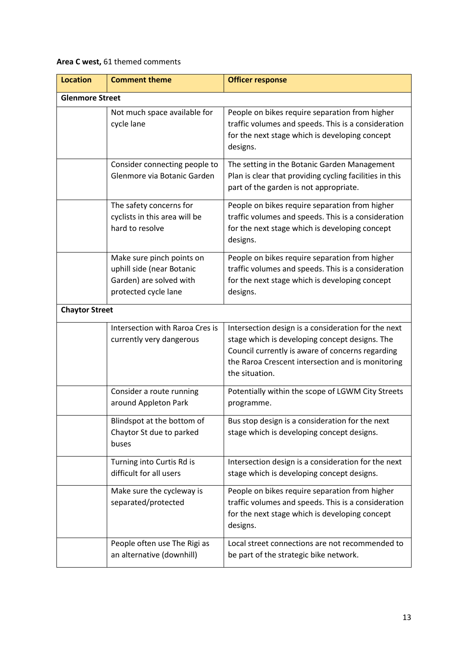### **Area C west,** 61 themed comments

| <b>Location</b>        | <b>Comment theme</b>                                                                                      | <b>Officer response</b>                                                                                                                                                                                                          |
|------------------------|-----------------------------------------------------------------------------------------------------------|----------------------------------------------------------------------------------------------------------------------------------------------------------------------------------------------------------------------------------|
| <b>Glenmore Street</b> |                                                                                                           |                                                                                                                                                                                                                                  |
|                        | Not much space available for<br>cycle lane                                                                | People on bikes require separation from higher<br>traffic volumes and speeds. This is a consideration<br>for the next stage which is developing concept<br>designs.                                                              |
|                        | Consider connecting people to<br>Glenmore via Botanic Garden                                              | The setting in the Botanic Garden Management<br>Plan is clear that providing cycling facilities in this<br>part of the garden is not appropriate.                                                                                |
|                        | The safety concerns for<br>cyclists in this area will be<br>hard to resolve                               | People on bikes require separation from higher<br>traffic volumes and speeds. This is a consideration<br>for the next stage which is developing concept<br>designs.                                                              |
|                        | Make sure pinch points on<br>uphill side (near Botanic<br>Garden) are solved with<br>protected cycle lane | People on bikes require separation from higher<br>traffic volumes and speeds. This is a consideration<br>for the next stage which is developing concept<br>designs.                                                              |
| <b>Chaytor Street</b>  |                                                                                                           |                                                                                                                                                                                                                                  |
|                        | Intersection with Raroa Cres is<br>currently very dangerous                                               | Intersection design is a consideration for the next<br>stage which is developing concept designs. The<br>Council currently is aware of concerns regarding<br>the Raroa Crescent intersection and is monitoring<br>the situation. |
|                        | Consider a route running<br>around Appleton Park                                                          | Potentially within the scope of LGWM City Streets<br>programme.                                                                                                                                                                  |
|                        | Blindspot at the bottom of<br>Chaytor St due to parked<br>buses                                           | Bus stop design is a consideration for the next<br>stage which is developing concept designs.                                                                                                                                    |
|                        | Turning into Curtis Rd is<br>difficult for all users                                                      | Intersection design is a consideration for the next<br>stage which is developing concept designs.                                                                                                                                |
|                        | Make sure the cycleway is<br>separated/protected                                                          | People on bikes require separation from higher<br>traffic volumes and speeds. This is a consideration<br>for the next stage which is developing concept<br>designs.                                                              |
|                        | People often use The Rigi as<br>an alternative (downhill)                                                 | Local street connections are not recommended to<br>be part of the strategic bike network.                                                                                                                                        |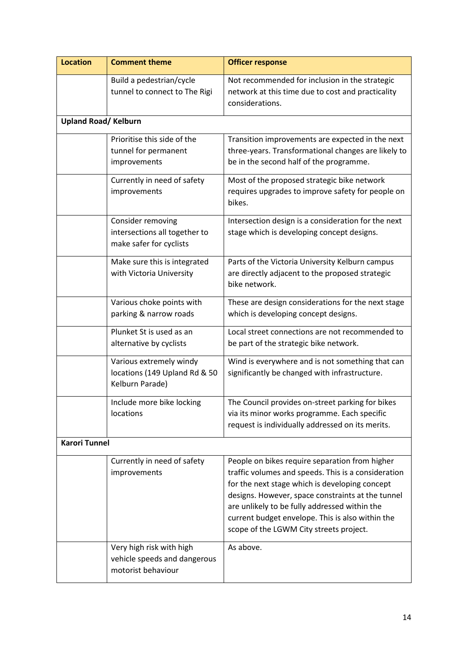| <b>Location</b>            | <b>Comment theme</b>                                                           | <b>Officer response</b>                                                                                                                                                                                                                                                                                                                                      |
|----------------------------|--------------------------------------------------------------------------------|--------------------------------------------------------------------------------------------------------------------------------------------------------------------------------------------------------------------------------------------------------------------------------------------------------------------------------------------------------------|
|                            | Build a pedestrian/cycle<br>tunnel to connect to The Rigi                      | Not recommended for inclusion in the strategic<br>network at this time due to cost and practicality<br>considerations.                                                                                                                                                                                                                                       |
| <b>Upland Road/Kelburn</b> |                                                                                |                                                                                                                                                                                                                                                                                                                                                              |
|                            | Prioritise this side of the<br>tunnel for permanent<br>improvements            | Transition improvements are expected in the next<br>three-years. Transformational changes are likely to<br>be in the second half of the programme.                                                                                                                                                                                                           |
|                            | Currently in need of safety<br>improvements                                    | Most of the proposed strategic bike network<br>requires upgrades to improve safety for people on<br>bikes.                                                                                                                                                                                                                                                   |
|                            | Consider removing<br>intersections all together to<br>make safer for cyclists  | Intersection design is a consideration for the next<br>stage which is developing concept designs.                                                                                                                                                                                                                                                            |
|                            | Make sure this is integrated<br>with Victoria University                       | Parts of the Victoria University Kelburn campus<br>are directly adjacent to the proposed strategic<br>bike network.                                                                                                                                                                                                                                          |
|                            | Various choke points with<br>parking & narrow roads                            | These are design considerations for the next stage<br>which is developing concept designs.                                                                                                                                                                                                                                                                   |
|                            | Plunket St is used as an<br>alternative by cyclists                            | Local street connections are not recommended to<br>be part of the strategic bike network.                                                                                                                                                                                                                                                                    |
|                            | Various extremely windy<br>locations (149 Upland Rd & 50<br>Kelburn Parade)    | Wind is everywhere and is not something that can<br>significantly be changed with infrastructure.                                                                                                                                                                                                                                                            |
|                            | Include more bike locking<br>locations                                         | The Council provides on-street parking for bikes<br>via its minor works programme. Each specific<br>request is individually addressed on its merits.                                                                                                                                                                                                         |
| <b>Karori Tunnel</b>       |                                                                                |                                                                                                                                                                                                                                                                                                                                                              |
|                            | Currently in need of safety<br>improvements                                    | People on bikes require separation from higher<br>traffic volumes and speeds. This is a consideration<br>for the next stage which is developing concept<br>designs. However, space constraints at the tunnel<br>are unlikely to be fully addressed within the<br>current budget envelope. This is also within the<br>scope of the LGWM City streets project. |
|                            | Very high risk with high<br>vehicle speeds and dangerous<br>motorist behaviour | As above.                                                                                                                                                                                                                                                                                                                                                    |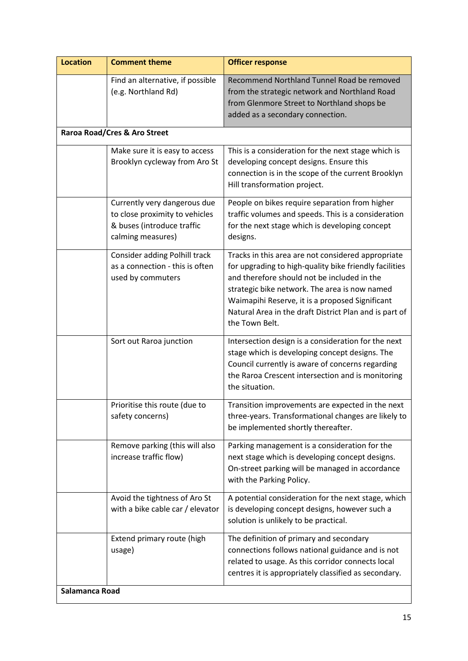| <b>Location</b> | <b>Comment theme</b>                                                                                              | <b>Officer response</b>                                                                                                                                                                                                                                                                                                                     |
|-----------------|-------------------------------------------------------------------------------------------------------------------|---------------------------------------------------------------------------------------------------------------------------------------------------------------------------------------------------------------------------------------------------------------------------------------------------------------------------------------------|
|                 | Find an alternative, if possible<br>(e.g. Northland Rd)                                                           | Recommend Northland Tunnel Road be removed<br>from the strategic network and Northland Road<br>from Glenmore Street to Northland shops be<br>added as a secondary connection.                                                                                                                                                               |
|                 | Raroa Road/Cres & Aro Street                                                                                      |                                                                                                                                                                                                                                                                                                                                             |
|                 | Make sure it is easy to access<br>Brooklyn cycleway from Aro St                                                   | This is a consideration for the next stage which is<br>developing concept designs. Ensure this<br>connection is in the scope of the current Brooklyn<br>Hill transformation project.                                                                                                                                                        |
|                 | Currently very dangerous due<br>to close proximity to vehicles<br>& buses (introduce traffic<br>calming measures) | People on bikes require separation from higher<br>traffic volumes and speeds. This is a consideration<br>for the next stage which is developing concept<br>designs.                                                                                                                                                                         |
|                 | Consider adding Polhill track<br>as a connection - this is often<br>used by commuters                             | Tracks in this area are not considered appropriate<br>for upgrading to high-quality bike friendly facilities<br>and therefore should not be included in the<br>strategic bike network. The area is now named<br>Waimapihi Reserve, it is a proposed Significant<br>Natural Area in the draft District Plan and is part of<br>the Town Belt. |
|                 | Sort out Raroa junction                                                                                           | Intersection design is a consideration for the next<br>stage which is developing concept designs. The<br>Council currently is aware of concerns regarding<br>the Raroa Crescent intersection and is monitoring<br>the situation.                                                                                                            |
|                 | Prioritise this route (due to<br>safety concerns)                                                                 | Transition improvements are expected in the next<br>three-years. Transformational changes are likely to<br>be implemented shortly thereafter.                                                                                                                                                                                               |
|                 | Remove parking (this will also<br>increase traffic flow)                                                          | Parking management is a consideration for the<br>next stage which is developing concept designs.<br>On-street parking will be managed in accordance<br>with the Parking Policy.                                                                                                                                                             |
|                 | Avoid the tightness of Aro St<br>with a bike cable car / elevator                                                 | A potential consideration for the next stage, which<br>is developing concept designs, however such a<br>solution is unlikely to be practical.                                                                                                                                                                                               |
|                 | Extend primary route (high<br>usage)                                                                              | The definition of primary and secondary<br>connections follows national guidance and is not<br>related to usage. As this corridor connects local<br>centres it is appropriately classified as secondary.                                                                                                                                    |
| Salamanca Road  |                                                                                                                   |                                                                                                                                                                                                                                                                                                                                             |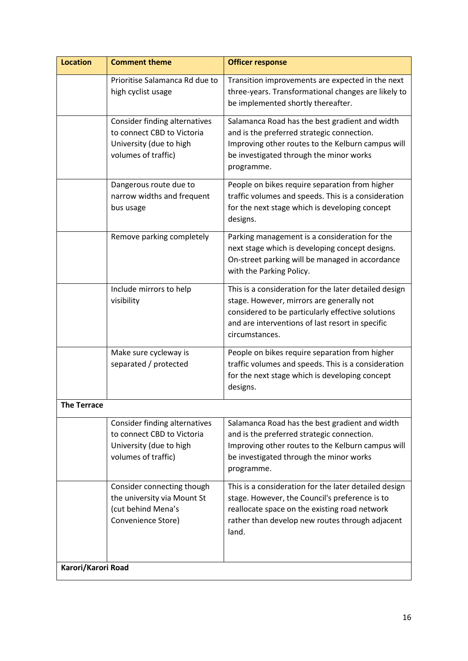| <b>Location</b>    | <b>Comment theme</b>                                                                                                 | <b>Officer response</b>                                                                                                                                                                                                       |
|--------------------|----------------------------------------------------------------------------------------------------------------------|-------------------------------------------------------------------------------------------------------------------------------------------------------------------------------------------------------------------------------|
|                    | Prioritise Salamanca Rd due to<br>high cyclist usage                                                                 | Transition improvements are expected in the next<br>three-years. Transformational changes are likely to<br>be implemented shortly thereafter.                                                                                 |
|                    | Consider finding alternatives<br>to connect CBD to Victoria<br>University (due to high<br>volumes of traffic)        | Salamanca Road has the best gradient and width<br>and is the preferred strategic connection.<br>Improving other routes to the Kelburn campus will<br>be investigated through the minor works<br>programme.                    |
|                    | Dangerous route due to<br>narrow widths and frequent<br>bus usage                                                    | People on bikes require separation from higher<br>traffic volumes and speeds. This is a consideration<br>for the next stage which is developing concept<br>designs.                                                           |
|                    | Remove parking completely                                                                                            | Parking management is a consideration for the<br>next stage which is developing concept designs.<br>On-street parking will be managed in accordance<br>with the Parking Policy.                                               |
|                    | Include mirrors to help<br>visibility                                                                                | This is a consideration for the later detailed design<br>stage. However, mirrors are generally not<br>considered to be particularly effective solutions<br>and are interventions of last resort in specific<br>circumstances. |
|                    | Make sure cycleway is<br>separated / protected                                                                       | People on bikes require separation from higher<br>traffic volumes and speeds. This is a consideration<br>for the next stage which is developing concept<br>designs.                                                           |
| <b>The Terrace</b> |                                                                                                                      |                                                                                                                                                                                                                               |
|                    | <b>Consider finding alternatives</b><br>to connect CBD to Victoria<br>University (due to high<br>volumes of traffic) | Salamanca Road has the best gradient and width<br>and is the preferred strategic connection.<br>Improving other routes to the Kelburn campus will<br>be investigated through the minor works<br>programme.                    |
|                    | Consider connecting though<br>the university via Mount St<br>(cut behind Mena's<br>Convenience Store)                | This is a consideration for the later detailed design<br>stage. However, the Council's preference is to<br>reallocate space on the existing road network<br>rather than develop new routes through adjacent<br>land.          |
| Karori/Karori Road |                                                                                                                      |                                                                                                                                                                                                                               |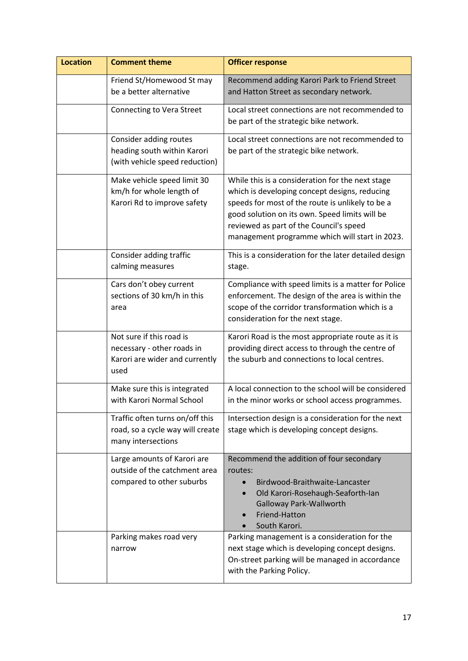| <b>Location</b> | <b>Comment theme</b>                                                                             | <b>Officer response</b>                                                                                                                                                                                                                                                                              |
|-----------------|--------------------------------------------------------------------------------------------------|------------------------------------------------------------------------------------------------------------------------------------------------------------------------------------------------------------------------------------------------------------------------------------------------------|
|                 | Friend St/Homewood St may<br>be a better alternative                                             | Recommend adding Karori Park to Friend Street<br>and Hatton Street as secondary network.                                                                                                                                                                                                             |
|                 | Connecting to Vera Street                                                                        | Local street connections are not recommended to<br>be part of the strategic bike network.                                                                                                                                                                                                            |
|                 | Consider adding routes<br>heading south within Karori<br>(with vehicle speed reduction)          | Local street connections are not recommended to<br>be part of the strategic bike network.                                                                                                                                                                                                            |
|                 | Make vehicle speed limit 30<br>km/h for whole length of<br>Karori Rd to improve safety           | While this is a consideration for the next stage<br>which is developing concept designs, reducing<br>speeds for most of the route is unlikely to be a<br>good solution on its own. Speed limits will be<br>reviewed as part of the Council's speed<br>management programme which will start in 2023. |
|                 | Consider adding traffic<br>calming measures                                                      | This is a consideration for the later detailed design<br>stage.                                                                                                                                                                                                                                      |
|                 | Cars don't obey current<br>sections of 30 km/h in this<br>area                                   | Compliance with speed limits is a matter for Police<br>enforcement. The design of the area is within the<br>scope of the corridor transformation which is a<br>consideration for the next stage.                                                                                                     |
|                 | Not sure if this road is<br>necessary - other roads in<br>Karori are wider and currently<br>used | Karori Road is the most appropriate route as it is<br>providing direct access to through the centre of<br>the suburb and connections to local centres.                                                                                                                                               |
|                 | Make sure this is integrated<br>with Karori Normal School                                        | A local connection to the school will be considered<br>in the minor works or school access programmes.                                                                                                                                                                                               |
|                 | Traffic often turns on/off this<br>road, so a cycle way will create<br>many intersections        | Intersection design is a consideration for the next<br>stage which is developing concept designs.                                                                                                                                                                                                    |
|                 | Large amounts of Karori are<br>outside of the catchment area<br>compared to other suburbs        | Recommend the addition of four secondary<br>routes:<br>Birdwood-Braithwaite-Lancaster<br>Old Karori-Rosehaugh-Seaforth-Ian<br>$\bullet$<br>Galloway Park-Wallworth<br>Friend-Hatton<br>South Karori.                                                                                                 |
|                 | Parking makes road very<br>narrow                                                                | Parking management is a consideration for the<br>next stage which is developing concept designs.<br>On-street parking will be managed in accordance<br>with the Parking Policy.                                                                                                                      |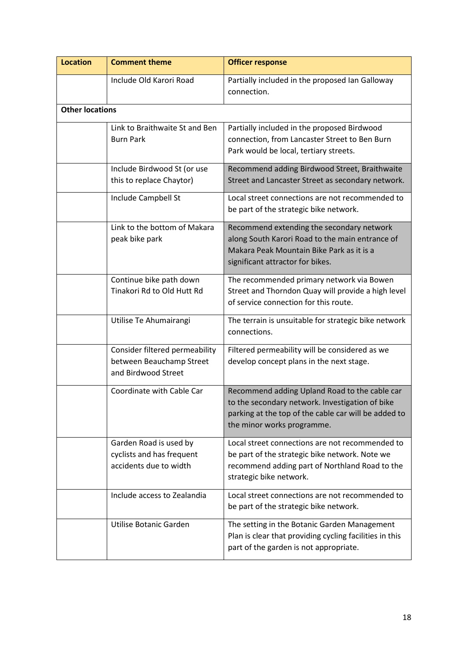| <b>Location</b>        | <b>Comment theme</b>                                                              | <b>Officer response</b>                                                                                                                                                                |
|------------------------|-----------------------------------------------------------------------------------|----------------------------------------------------------------------------------------------------------------------------------------------------------------------------------------|
|                        | Include Old Karori Road                                                           | Partially included in the proposed Ian Galloway<br>connection.                                                                                                                         |
| <b>Other locations</b> |                                                                                   |                                                                                                                                                                                        |
|                        | Link to Braithwaite St and Ben<br><b>Burn Park</b>                                | Partially included in the proposed Birdwood<br>connection, from Lancaster Street to Ben Burn<br>Park would be local, tertiary streets.                                                 |
|                        | Include Birdwood St (or use<br>this to replace Chaytor)                           | Recommend adding Birdwood Street, Braithwaite<br>Street and Lancaster Street as secondary network.                                                                                     |
|                        | Include Campbell St                                                               | Local street connections are not recommended to<br>be part of the strategic bike network.                                                                                              |
|                        | Link to the bottom of Makara<br>peak bike park                                    | Recommend extending the secondary network<br>along South Karori Road to the main entrance of<br>Makara Peak Mountain Bike Park as it is a<br>significant attractor for bikes.          |
|                        | Continue bike path down<br>Tinakori Rd to Old Hutt Rd                             | The recommended primary network via Bowen<br>Street and Thorndon Quay will provide a high level<br>of service connection for this route.                                               |
|                        | Utilise Te Ahumairangi                                                            | The terrain is unsuitable for strategic bike network<br>connections.                                                                                                                   |
|                        | Consider filtered permeability<br>between Beauchamp Street<br>and Birdwood Street | Filtered permeability will be considered as we<br>develop concept plans in the next stage.                                                                                             |
|                        | Coordinate with Cable Car                                                         | Recommend adding Upland Road to the cable car<br>to the secondary network. Investigation of bike<br>parking at the top of the cable car will be added to<br>the minor works programme. |
|                        | Garden Road is used by<br>cyclists and has frequent<br>accidents due to width     | Local street connections are not recommended to<br>be part of the strategic bike network. Note we<br>recommend adding part of Northland Road to the<br>strategic bike network.         |
|                        | Include access to Zealandia                                                       | Local street connections are not recommended to<br>be part of the strategic bike network.                                                                                              |
|                        | Utilise Botanic Garden                                                            | The setting in the Botanic Garden Management<br>Plan is clear that providing cycling facilities in this<br>part of the garden is not appropriate.                                      |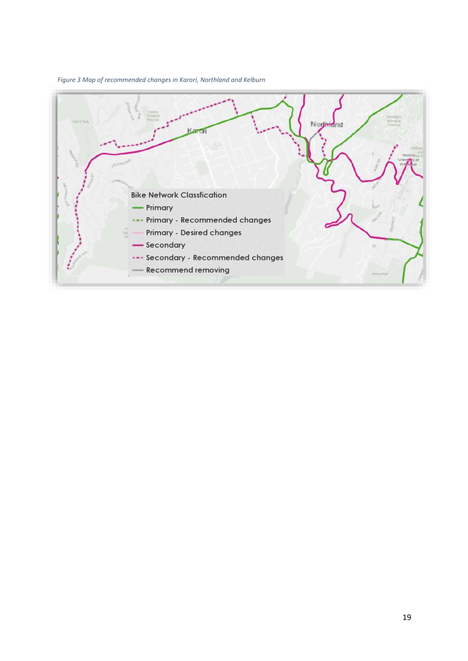

*Figure 3 Map of recommended changes in Karori, Northland and Kelburn*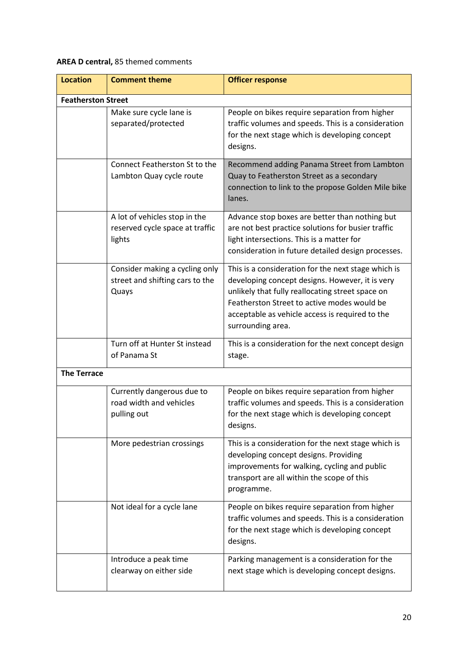### **AREA D central,** 85 themed comments

| <b>Location</b>           | <b>Comment theme</b>                                                       | <b>Officer response</b>                                                                                                                                                                                                                                                           |
|---------------------------|----------------------------------------------------------------------------|-----------------------------------------------------------------------------------------------------------------------------------------------------------------------------------------------------------------------------------------------------------------------------------|
| <b>Featherston Street</b> |                                                                            |                                                                                                                                                                                                                                                                                   |
|                           | Make sure cycle lane is<br>separated/protected                             | People on bikes require separation from higher<br>traffic volumes and speeds. This is a consideration<br>for the next stage which is developing concept<br>designs.                                                                                                               |
|                           | Connect Featherston St to the<br>Lambton Quay cycle route                  | Recommend adding Panama Street from Lambton<br>Quay to Featherston Street as a secondary<br>connection to link to the propose Golden Mile bike<br>lanes.                                                                                                                          |
|                           | A lot of vehicles stop in the<br>reserved cycle space at traffic<br>lights | Advance stop boxes are better than nothing but<br>are not best practice solutions for busier traffic<br>light intersections. This is a matter for<br>consideration in future detailed design processes.                                                                           |
|                           | Consider making a cycling only<br>street and shifting cars to the<br>Quays | This is a consideration for the next stage which is<br>developing concept designs. However, it is very<br>unlikely that fully reallocating street space on<br>Featherston Street to active modes would be<br>acceptable as vehicle access is required to the<br>surrounding area. |
|                           | Turn off at Hunter St instead<br>of Panama St                              | This is a consideration for the next concept design<br>stage.                                                                                                                                                                                                                     |
| <b>The Terrace</b>        |                                                                            |                                                                                                                                                                                                                                                                                   |
|                           | Currently dangerous due to<br>road width and vehicles<br>pulling out       | People on bikes require separation from higher<br>traffic volumes and speeds. This is a consideration<br>for the next stage which is developing concept<br>designs.                                                                                                               |
|                           | More pedestrian crossings                                                  | This is a consideration for the next stage which is<br>developing concept designs. Providing<br>improvements for walking, cycling and public<br>transport are all within the scope of this<br>programme.                                                                          |
|                           | Not ideal for a cycle lane                                                 | People on bikes require separation from higher<br>traffic volumes and speeds. This is a consideration<br>for the next stage which is developing concept<br>designs.                                                                                                               |
|                           | Introduce a peak time<br>clearway on either side                           | Parking management is a consideration for the<br>next stage which is developing concept designs.                                                                                                                                                                                  |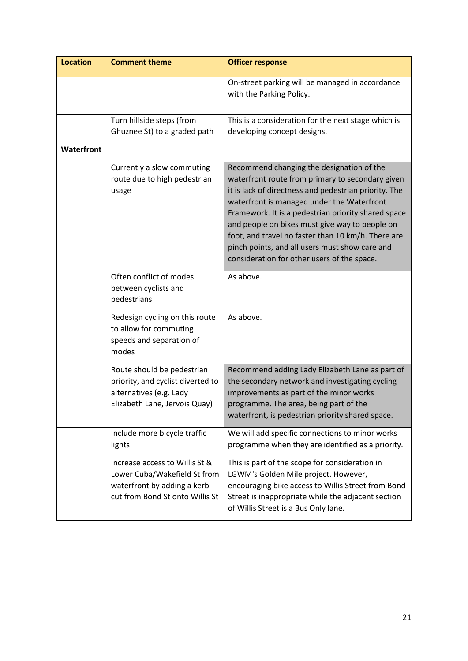| <b>Location</b>   | <b>Comment theme</b>                                                                                                             | <b>Officer response</b>                                                                                                                                                                                                                                                                                                                                                                                                                                              |
|-------------------|----------------------------------------------------------------------------------------------------------------------------------|----------------------------------------------------------------------------------------------------------------------------------------------------------------------------------------------------------------------------------------------------------------------------------------------------------------------------------------------------------------------------------------------------------------------------------------------------------------------|
|                   |                                                                                                                                  | On-street parking will be managed in accordance<br>with the Parking Policy.                                                                                                                                                                                                                                                                                                                                                                                          |
|                   | Turn hillside steps (from<br>Ghuznee St) to a graded path                                                                        | This is a consideration for the next stage which is<br>developing concept designs.                                                                                                                                                                                                                                                                                                                                                                                   |
| <b>Waterfront</b> |                                                                                                                                  |                                                                                                                                                                                                                                                                                                                                                                                                                                                                      |
|                   | Currently a slow commuting<br>route due to high pedestrian<br>usage                                                              | Recommend changing the designation of the<br>waterfront route from primary to secondary given<br>it is lack of directness and pedestrian priority. The<br>waterfront is managed under the Waterfront<br>Framework. It is a pedestrian priority shared space<br>and people on bikes must give way to people on<br>foot, and travel no faster than 10 km/h. There are<br>pinch points, and all users must show care and<br>consideration for other users of the space. |
|                   | Often conflict of modes<br>between cyclists and<br>pedestrians                                                                   | As above.                                                                                                                                                                                                                                                                                                                                                                                                                                                            |
|                   | Redesign cycling on this route<br>to allow for commuting<br>speeds and separation of<br>modes                                    | As above.                                                                                                                                                                                                                                                                                                                                                                                                                                                            |
|                   | Route should be pedestrian<br>priority, and cyclist diverted to<br>alternatives (e.g. Lady<br>Elizabeth Lane, Jervois Quay)      | Recommend adding Lady Elizabeth Lane as part of<br>the secondary network and investigating cycling<br>improvements as part of the minor works<br>programme. The area, being part of the<br>waterfront, is pedestrian priority shared space.                                                                                                                                                                                                                          |
|                   | Include more bicycle traffic<br>lights                                                                                           | We will add specific connections to minor works<br>programme when they are identified as a priority.                                                                                                                                                                                                                                                                                                                                                                 |
|                   | Increase access to Willis St &<br>Lower Cuba/Wakefield St from<br>waterfront by adding a kerb<br>cut from Bond St onto Willis St | This is part of the scope for consideration in<br>LGWM's Golden Mile project. However,<br>encouraging bike access to Willis Street from Bond<br>Street is inappropriate while the adjacent section<br>of Willis Street is a Bus Only lane.                                                                                                                                                                                                                           |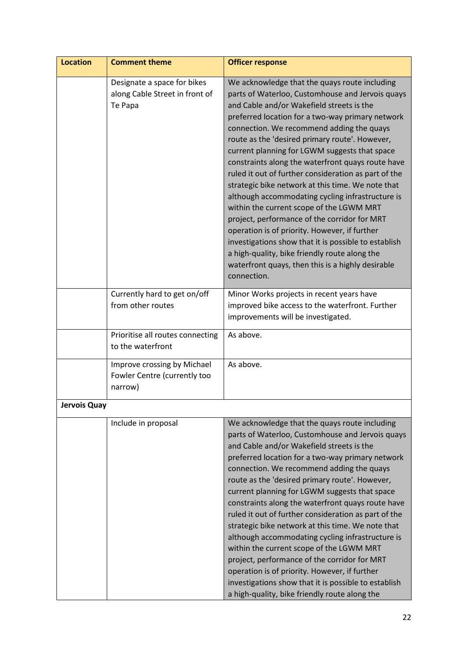| <b>Location</b> | <b>Comment theme</b>                                                     | <b>Officer response</b>                                                                                                                                                                                                                                                                                                                                                                                                                                                                                                                                                                                                                                                                                                                                                                                                                                                                            |
|-----------------|--------------------------------------------------------------------------|----------------------------------------------------------------------------------------------------------------------------------------------------------------------------------------------------------------------------------------------------------------------------------------------------------------------------------------------------------------------------------------------------------------------------------------------------------------------------------------------------------------------------------------------------------------------------------------------------------------------------------------------------------------------------------------------------------------------------------------------------------------------------------------------------------------------------------------------------------------------------------------------------|
|                 | Designate a space for bikes<br>along Cable Street in front of<br>Te Papa | We acknowledge that the quays route including<br>parts of Waterloo, Customhouse and Jervois quays<br>and Cable and/or Wakefield streets is the<br>preferred location for a two-way primary network<br>connection. We recommend adding the quays<br>route as the 'desired primary route'. However,<br>current planning for LGWM suggests that space<br>constraints along the waterfront quays route have<br>ruled it out of further consideration as part of the<br>strategic bike network at this time. We note that<br>although accommodating cycling infrastructure is<br>within the current scope of the LGWM MRT<br>project, performance of the corridor for MRT<br>operation is of priority. However, if further<br>investigations show that it is possible to establish<br>a high-quality, bike friendly route along the<br>waterfront quays, then this is a highly desirable<br>connection. |
|                 | Currently hard to get on/off<br>from other routes                        | Minor Works projects in recent years have<br>improved bike access to the waterfront. Further<br>improvements will be investigated.                                                                                                                                                                                                                                                                                                                                                                                                                                                                                                                                                                                                                                                                                                                                                                 |
|                 | Prioritise all routes connecting<br>to the waterfront                    | As above.                                                                                                                                                                                                                                                                                                                                                                                                                                                                                                                                                                                                                                                                                                                                                                                                                                                                                          |
|                 | Improve crossing by Michael<br>Fowler Centre (currently too<br>narrow)   | As above.                                                                                                                                                                                                                                                                                                                                                                                                                                                                                                                                                                                                                                                                                                                                                                                                                                                                                          |
| Jervois Quay    |                                                                          |                                                                                                                                                                                                                                                                                                                                                                                                                                                                                                                                                                                                                                                                                                                                                                                                                                                                                                    |
|                 | Include in proposal                                                      | We acknowledge that the quays route including<br>parts of Waterloo, Customhouse and Jervois quays<br>and Cable and/or Wakefield streets is the<br>preferred location for a two-way primary network<br>connection. We recommend adding the quays<br>route as the 'desired primary route'. However,<br>current planning for LGWM suggests that space<br>constraints along the waterfront quays route have<br>ruled it out of further consideration as part of the<br>strategic bike network at this time. We note that<br>although accommodating cycling infrastructure is<br>within the current scope of the LGWM MRT<br>project, performance of the corridor for MRT<br>operation is of priority. However, if further<br>investigations show that it is possible to establish<br>a high-quality, bike friendly route along the                                                                     |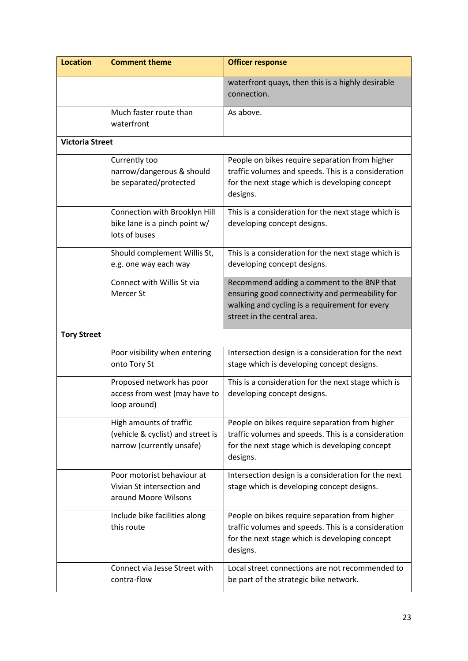| <b>Location</b>        | <b>Comment theme</b>                                                                      | <b>Officer response</b>                                                                                                                                                        |
|------------------------|-------------------------------------------------------------------------------------------|--------------------------------------------------------------------------------------------------------------------------------------------------------------------------------|
|                        |                                                                                           | waterfront quays, then this is a highly desirable<br>connection.                                                                                                               |
|                        | Much faster route than<br>waterfront                                                      | As above.                                                                                                                                                                      |
| <b>Victoria Street</b> |                                                                                           |                                                                                                                                                                                |
|                        | Currently too<br>narrow/dangerous & should<br>be separated/protected                      | People on bikes require separation from higher<br>traffic volumes and speeds. This is a consideration<br>for the next stage which is developing concept<br>designs.            |
|                        | Connection with Brooklyn Hill<br>bike lane is a pinch point w/<br>lots of buses           | This is a consideration for the next stage which is<br>developing concept designs.                                                                                             |
|                        | Should complement Willis St,<br>e.g. one way each way                                     | This is a consideration for the next stage which is<br>developing concept designs.                                                                                             |
|                        | Connect with Willis St via<br>Mercer St                                                   | Recommend adding a comment to the BNP that<br>ensuring good connectivity and permeability for<br>walking and cycling is a requirement for every<br>street in the central area. |
| <b>Tory Street</b>     |                                                                                           |                                                                                                                                                                                |
|                        | Poor visibility when entering<br>onto Tory St                                             | Intersection design is a consideration for the next<br>stage which is developing concept designs.                                                                              |
|                        | Proposed network has poor<br>access from west (may have to<br>loop around)                | This is a consideration for the next stage which is<br>developing concept designs.                                                                                             |
|                        | High amounts of traffic<br>(vehicle & cyclist) and street is<br>narrow (currently unsafe) | People on bikes require separation from higher<br>traffic volumes and speeds. This is a consideration<br>for the next stage which is developing concept<br>designs.            |
|                        | Poor motorist behaviour at<br>Vivian St intersection and<br>around Moore Wilsons          | Intersection design is a consideration for the next<br>stage which is developing concept designs.                                                                              |
|                        | Include bike facilities along<br>this route                                               | People on bikes require separation from higher<br>traffic volumes and speeds. This is a consideration<br>for the next stage which is developing concept<br>designs.            |
|                        | Connect via Jesse Street with<br>contra-flow                                              | Local street connections are not recommended to<br>be part of the strategic bike network.                                                                                      |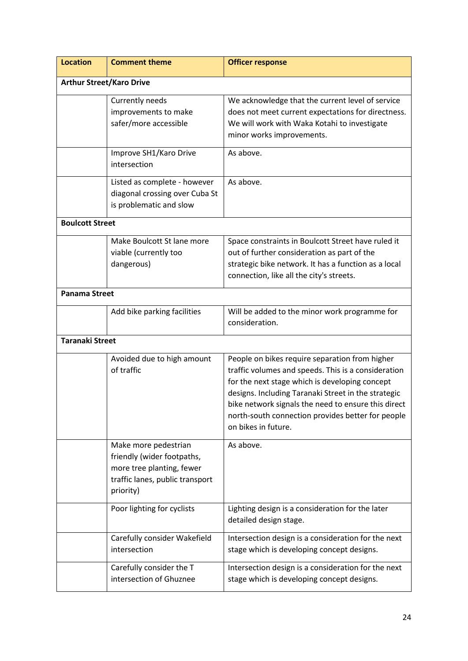| <b>Location</b>        | <b>Comment theme</b>                                                                                                            | <b>Officer response</b>                                                                                                                                                                                                                                                                                                                           |  |
|------------------------|---------------------------------------------------------------------------------------------------------------------------------|---------------------------------------------------------------------------------------------------------------------------------------------------------------------------------------------------------------------------------------------------------------------------------------------------------------------------------------------------|--|
|                        | <b>Arthur Street/Karo Drive</b>                                                                                                 |                                                                                                                                                                                                                                                                                                                                                   |  |
|                        | Currently needs<br>improvements to make<br>safer/more accessible                                                                | We acknowledge that the current level of service<br>does not meet current expectations for directness.<br>We will work with Waka Kotahi to investigate<br>minor works improvements.                                                                                                                                                               |  |
|                        | Improve SH1/Karo Drive<br>intersection                                                                                          | As above.                                                                                                                                                                                                                                                                                                                                         |  |
|                        | Listed as complete - however<br>diagonal crossing over Cuba St<br>is problematic and slow                                       | As above.                                                                                                                                                                                                                                                                                                                                         |  |
| <b>Boulcott Street</b> |                                                                                                                                 |                                                                                                                                                                                                                                                                                                                                                   |  |
|                        | Make Boulcott St lane more<br>viable (currently too<br>dangerous)                                                               | Space constraints in Boulcott Street have ruled it<br>out of further consideration as part of the<br>strategic bike network. It has a function as a local<br>connection, like all the city's streets.                                                                                                                                             |  |
| <b>Panama Street</b>   |                                                                                                                                 |                                                                                                                                                                                                                                                                                                                                                   |  |
|                        | Add bike parking facilities                                                                                                     | Will be added to the minor work programme for<br>consideration.                                                                                                                                                                                                                                                                                   |  |
| <b>Taranaki Street</b> |                                                                                                                                 |                                                                                                                                                                                                                                                                                                                                                   |  |
|                        | Avoided due to high amount<br>of traffic                                                                                        | People on bikes require separation from higher<br>traffic volumes and speeds. This is a consideration<br>for the next stage which is developing concept<br>designs. Including Taranaki Street in the strategic<br>bike network signals the need to ensure this direct<br>north-south connection provides better for people<br>on bikes in future. |  |
|                        | Make more pedestrian<br>friendly (wider footpaths,<br>more tree planting, fewer<br>traffic lanes, public transport<br>priority) | As above.                                                                                                                                                                                                                                                                                                                                         |  |
|                        | Poor lighting for cyclists                                                                                                      | Lighting design is a consideration for the later<br>detailed design stage.                                                                                                                                                                                                                                                                        |  |
|                        | Carefully consider Wakefield<br>intersection                                                                                    | Intersection design is a consideration for the next<br>stage which is developing concept designs.                                                                                                                                                                                                                                                 |  |
|                        | Carefully consider the T<br>intersection of Ghuznee                                                                             | Intersection design is a consideration for the next<br>stage which is developing concept designs.                                                                                                                                                                                                                                                 |  |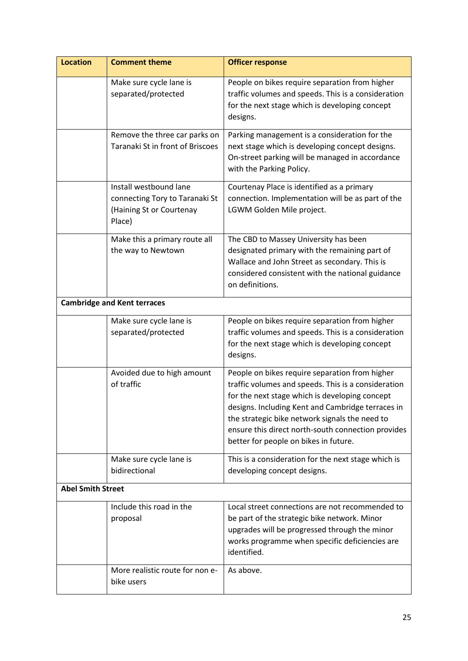| <b>Location</b>          | <b>Comment theme</b>                                                                           | <b>Officer response</b>                                                                                                                                                                                                                                                                                                                                       |
|--------------------------|------------------------------------------------------------------------------------------------|---------------------------------------------------------------------------------------------------------------------------------------------------------------------------------------------------------------------------------------------------------------------------------------------------------------------------------------------------------------|
|                          | Make sure cycle lane is<br>separated/protected                                                 | People on bikes require separation from higher<br>traffic volumes and speeds. This is a consideration<br>for the next stage which is developing concept<br>designs.                                                                                                                                                                                           |
|                          | Remove the three car parks on<br>Taranaki St in front of Briscoes                              | Parking management is a consideration for the<br>next stage which is developing concept designs.<br>On-street parking will be managed in accordance<br>with the Parking Policy.                                                                                                                                                                               |
|                          | Install westbound lane<br>connecting Tory to Taranaki St<br>(Haining St or Courtenay<br>Place) | Courtenay Place is identified as a primary<br>connection. Implementation will be as part of the<br>LGWM Golden Mile project.                                                                                                                                                                                                                                  |
|                          | Make this a primary route all<br>the way to Newtown                                            | The CBD to Massey University has been<br>designated primary with the remaining part of<br>Wallace and John Street as secondary. This is<br>considered consistent with the national guidance<br>on definitions.                                                                                                                                                |
|                          | <b>Cambridge and Kent terraces</b>                                                             |                                                                                                                                                                                                                                                                                                                                                               |
|                          | Make sure cycle lane is<br>separated/protected                                                 | People on bikes require separation from higher<br>traffic volumes and speeds. This is a consideration<br>for the next stage which is developing concept<br>designs.                                                                                                                                                                                           |
|                          | Avoided due to high amount<br>of traffic                                                       | People on bikes require separation from higher<br>traffic volumes and speeds. This is a consideration<br>for the next stage which is developing concept<br>designs. Including Kent and Cambridge terraces in<br>the strategic bike network signals the need to<br>ensure this direct north-south connection provides<br>better for people on bikes in future. |
|                          | Make sure cycle lane is<br>bidirectional                                                       | This is a consideration for the next stage which is<br>developing concept designs.                                                                                                                                                                                                                                                                            |
| <b>Abel Smith Street</b> |                                                                                                |                                                                                                                                                                                                                                                                                                                                                               |
|                          | Include this road in the<br>proposal                                                           | Local street connections are not recommended to<br>be part of the strategic bike network. Minor<br>upgrades will be progressed through the minor<br>works programme when specific deficiencies are<br>identified.                                                                                                                                             |
|                          | More realistic route for non e-<br>bike users                                                  | As above.                                                                                                                                                                                                                                                                                                                                                     |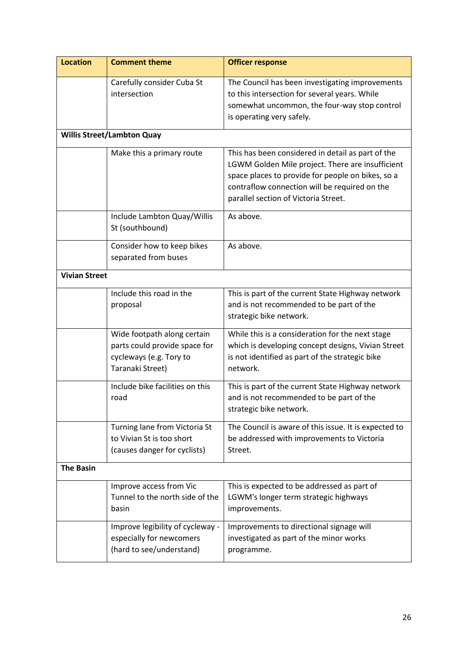| <b>Location</b>      | <b>Comment theme</b>                                                                                        | <b>Officer response</b>                                                                                                                                                                                                                             |
|----------------------|-------------------------------------------------------------------------------------------------------------|-----------------------------------------------------------------------------------------------------------------------------------------------------------------------------------------------------------------------------------------------------|
|                      | Carefully consider Cuba St<br>intersection                                                                  | The Council has been investigating improvements<br>to this intersection for several years. While<br>somewhat uncommon, the four-way stop control<br>is operating very safely.                                                                       |
|                      | <b>Willis Street/Lambton Quay</b>                                                                           |                                                                                                                                                                                                                                                     |
|                      | Make this a primary route                                                                                   | This has been considered in detail as part of the<br>LGWM Golden Mile project. There are insufficient<br>space places to provide for people on bikes, so a<br>contraflow connection will be required on the<br>parallel section of Victoria Street. |
|                      | Include Lambton Quay/Willis<br>St (southbound)                                                              | As above.                                                                                                                                                                                                                                           |
|                      | Consider how to keep bikes<br>separated from buses                                                          | As above.                                                                                                                                                                                                                                           |
| <b>Vivian Street</b> |                                                                                                             |                                                                                                                                                                                                                                                     |
|                      | Include this road in the<br>proposal                                                                        | This is part of the current State Highway network<br>and is not recommended to be part of the<br>strategic bike network.                                                                                                                            |
|                      | Wide footpath along certain<br>parts could provide space for<br>cycleways (e.g. Tory to<br>Taranaki Street) | While this is a consideration for the next stage<br>which is developing concept designs, Vivian Street<br>is not identified as part of the strategic bike<br>network.                                                                               |
|                      | Include bike facilities on this<br>road                                                                     | This is part of the current State Highway network<br>and is not recommended to be part of the<br>strategic bike network.                                                                                                                            |
|                      | Turning lane from Victoria St<br>to Vivian St is too short<br>(causes danger for cyclists)                  | The Council is aware of this issue. It is expected to<br>be addressed with improvements to Victoria<br>Street.                                                                                                                                      |
| <b>The Basin</b>     |                                                                                                             |                                                                                                                                                                                                                                                     |
|                      | Improve access from Vic<br>Tunnel to the north side of the<br>basin                                         | This is expected to be addressed as part of<br>LGWM's longer term strategic highways<br>improvements.                                                                                                                                               |
|                      | Improve legibility of cycleway -<br>especially for newcomers<br>(hard to see/understand)                    | Improvements to directional signage will<br>investigated as part of the minor works<br>programme.                                                                                                                                                   |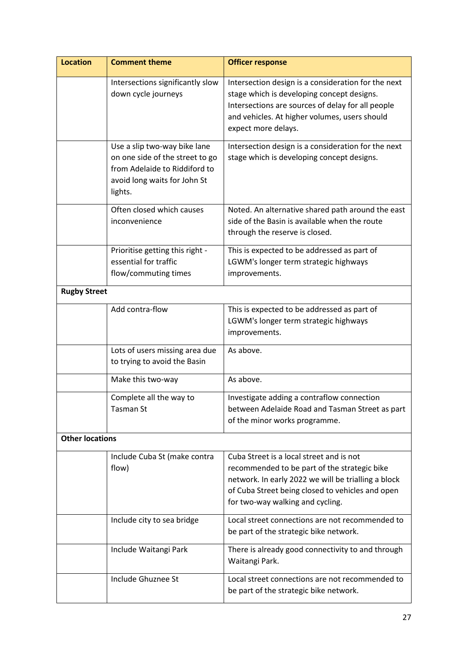| <b>Location</b>        | <b>Comment theme</b>                                                                                                                        | <b>Officer response</b>                                                                                                                                                                                                                 |
|------------------------|---------------------------------------------------------------------------------------------------------------------------------------------|-----------------------------------------------------------------------------------------------------------------------------------------------------------------------------------------------------------------------------------------|
|                        | Intersections significantly slow<br>down cycle journeys                                                                                     | Intersection design is a consideration for the next<br>stage which is developing concept designs.<br>Intersections are sources of delay for all people<br>and vehicles. At higher volumes, users should<br>expect more delays.          |
|                        | Use a slip two-way bike lane<br>on one side of the street to go<br>from Adelaide to Riddiford to<br>avoid long waits for John St<br>lights. | Intersection design is a consideration for the next<br>stage which is developing concept designs.                                                                                                                                       |
|                        | Often closed which causes<br>inconvenience                                                                                                  | Noted. An alternative shared path around the east<br>side of the Basin is available when the route<br>through the reserve is closed.                                                                                                    |
|                        | Prioritise getting this right -<br>essential for traffic<br>flow/commuting times                                                            | This is expected to be addressed as part of<br>LGWM's longer term strategic highways<br>improvements.                                                                                                                                   |
| <b>Rugby Street</b>    |                                                                                                                                             |                                                                                                                                                                                                                                         |
|                        | Add contra-flow                                                                                                                             | This is expected to be addressed as part of<br>LGWM's longer term strategic highways<br>improvements.                                                                                                                                   |
|                        | Lots of users missing area due<br>to trying to avoid the Basin                                                                              | As above.                                                                                                                                                                                                                               |
|                        | Make this two-way                                                                                                                           | As above.                                                                                                                                                                                                                               |
|                        | Complete all the way to<br>Tasman St                                                                                                        | Investigate adding a contraflow connection<br>between Adelaide Road and Tasman Street as part<br>of the minor works programme.                                                                                                          |
| <b>Other locations</b> |                                                                                                                                             |                                                                                                                                                                                                                                         |
|                        | Include Cuba St (make contra<br>flow)                                                                                                       | Cuba Street is a local street and is not<br>recommended to be part of the strategic bike<br>network. In early 2022 we will be trialling a block<br>of Cuba Street being closed to vehicles and open<br>for two-way walking and cycling. |
|                        | Include city to sea bridge                                                                                                                  | Local street connections are not recommended to<br>be part of the strategic bike network.                                                                                                                                               |
|                        | Include Waitangi Park                                                                                                                       | There is already good connectivity to and through<br>Waitangi Park.                                                                                                                                                                     |
|                        | Include Ghuznee St                                                                                                                          | Local street connections are not recommended to<br>be part of the strategic bike network.                                                                                                                                               |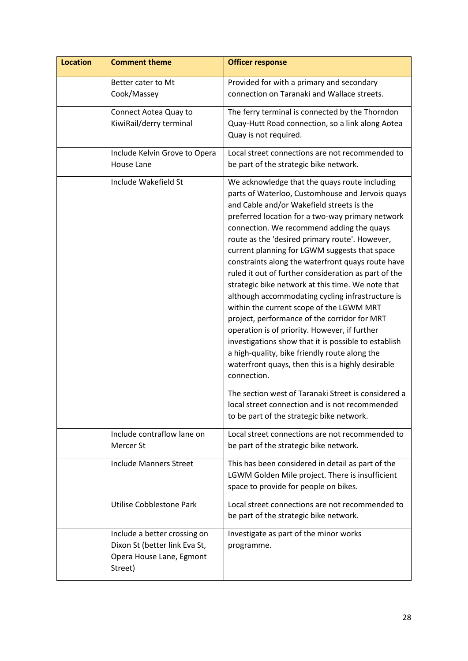| <b>Location</b> | <b>Comment theme</b>                                                                                 | <b>Officer response</b>                                                                                                                                                                                                                                                                                                                                                                                                                                                                                                                                                                                                                                                                                                                                                                                                                                                                                                                                                                                     |
|-----------------|------------------------------------------------------------------------------------------------------|-------------------------------------------------------------------------------------------------------------------------------------------------------------------------------------------------------------------------------------------------------------------------------------------------------------------------------------------------------------------------------------------------------------------------------------------------------------------------------------------------------------------------------------------------------------------------------------------------------------------------------------------------------------------------------------------------------------------------------------------------------------------------------------------------------------------------------------------------------------------------------------------------------------------------------------------------------------------------------------------------------------|
|                 | Better cater to Mt<br>Cook/Massey                                                                    | Provided for with a primary and secondary<br>connection on Taranaki and Wallace streets.                                                                                                                                                                                                                                                                                                                                                                                                                                                                                                                                                                                                                                                                                                                                                                                                                                                                                                                    |
|                 | Connect Aotea Quay to<br>KiwiRail/derry terminal                                                     | The ferry terminal is connected by the Thorndon<br>Quay-Hutt Road connection, so a link along Aotea<br>Quay is not required.                                                                                                                                                                                                                                                                                                                                                                                                                                                                                                                                                                                                                                                                                                                                                                                                                                                                                |
|                 | Include Kelvin Grove to Opera<br><b>House Lane</b>                                                   | Local street connections are not recommended to<br>be part of the strategic bike network.                                                                                                                                                                                                                                                                                                                                                                                                                                                                                                                                                                                                                                                                                                                                                                                                                                                                                                                   |
|                 | Include Wakefield St                                                                                 | We acknowledge that the quays route including<br>parts of Waterloo, Customhouse and Jervois quays<br>and Cable and/or Wakefield streets is the<br>preferred location for a two-way primary network<br>connection. We recommend adding the quays<br>route as the 'desired primary route'. However,<br>current planning for LGWM suggests that space<br>constraints along the waterfront quays route have<br>ruled it out of further consideration as part of the<br>strategic bike network at this time. We note that<br>although accommodating cycling infrastructure is<br>within the current scope of the LGWM MRT<br>project, performance of the corridor for MRT<br>operation is of priority. However, if further<br>investigations show that it is possible to establish<br>a high-quality, bike friendly route along the<br>waterfront quays, then this is a highly desirable<br>connection.<br>The section west of Taranaki Street is considered a<br>local street connection and is not recommended |
|                 | Include contraflow lane on                                                                           | to be part of the strategic bike network.<br>Local street connections are not recommended to                                                                                                                                                                                                                                                                                                                                                                                                                                                                                                                                                                                                                                                                                                                                                                                                                                                                                                                |
|                 | Mercer St                                                                                            | be part of the strategic bike network.                                                                                                                                                                                                                                                                                                                                                                                                                                                                                                                                                                                                                                                                                                                                                                                                                                                                                                                                                                      |
|                 | <b>Include Manners Street</b>                                                                        | This has been considered in detail as part of the<br>LGWM Golden Mile project. There is insufficient<br>space to provide for people on bikes.                                                                                                                                                                                                                                                                                                                                                                                                                                                                                                                                                                                                                                                                                                                                                                                                                                                               |
|                 | Utilise Cobblestone Park                                                                             | Local street connections are not recommended to<br>be part of the strategic bike network.                                                                                                                                                                                                                                                                                                                                                                                                                                                                                                                                                                                                                                                                                                                                                                                                                                                                                                                   |
|                 | Include a better crossing on<br>Dixon St (better link Eva St,<br>Opera House Lane, Egmont<br>Street) | Investigate as part of the minor works<br>programme.                                                                                                                                                                                                                                                                                                                                                                                                                                                                                                                                                                                                                                                                                                                                                                                                                                                                                                                                                        |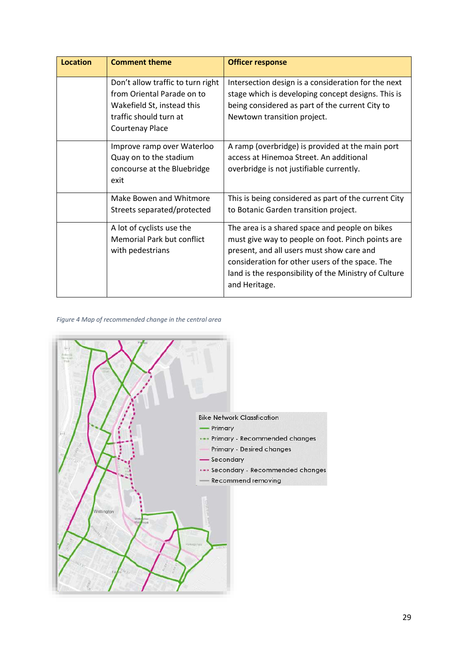| <b>Location</b> | <b>Comment theme</b>                                                                                                                              | <b>Officer response</b>                                                                                                                                                                                                                                                       |
|-----------------|---------------------------------------------------------------------------------------------------------------------------------------------------|-------------------------------------------------------------------------------------------------------------------------------------------------------------------------------------------------------------------------------------------------------------------------------|
|                 | Don't allow traffic to turn right<br>from Oriental Parade on to<br>Wakefield St, instead this<br>traffic should turn at<br><b>Courtenay Place</b> | Intersection design is a consideration for the next<br>stage which is developing concept designs. This is<br>being considered as part of the current City to<br>Newtown transition project.                                                                                   |
|                 | Improve ramp over Waterloo<br>Quay on to the stadium<br>concourse at the Bluebridge<br>exit                                                       | A ramp (overbridge) is provided at the main port<br>access at Hinemoa Street. An additional<br>overbridge is not justifiable currently.                                                                                                                                       |
|                 | Make Bowen and Whitmore<br>Streets separated/protected                                                                                            | This is being considered as part of the current City<br>to Botanic Garden transition project.                                                                                                                                                                                 |
|                 | A lot of cyclists use the<br><b>Memorial Park but conflict</b><br>with pedestrians                                                                | The area is a shared space and people on bikes<br>must give way to people on foot. Pinch points are<br>present, and all users must show care and<br>consideration for other users of the space. The<br>land is the responsibility of the Ministry of Culture<br>and Heritage. |

### *Figure 4 Map of recommended change in the central area*

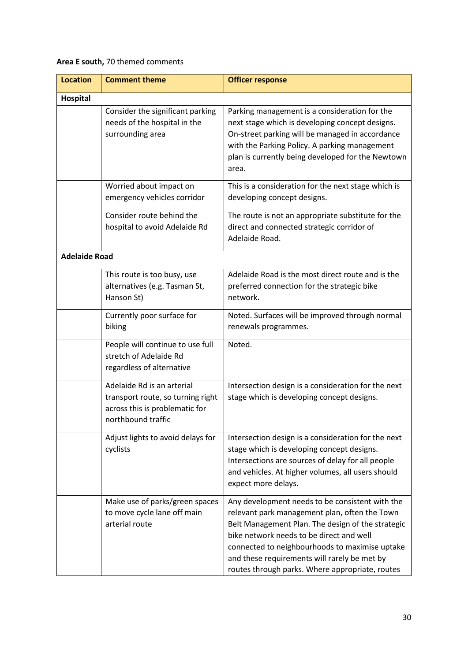## **Area E south,** 70 themed comments

| <b>Location</b>      | <b>Comment theme</b>                                                                                                    | <b>Officer response</b>                                                                                                                                                                                                                                                                                                                                |
|----------------------|-------------------------------------------------------------------------------------------------------------------------|--------------------------------------------------------------------------------------------------------------------------------------------------------------------------------------------------------------------------------------------------------------------------------------------------------------------------------------------------------|
| Hospital             |                                                                                                                         |                                                                                                                                                                                                                                                                                                                                                        |
|                      | Consider the significant parking<br>needs of the hospital in the<br>surrounding area                                    | Parking management is a consideration for the<br>next stage which is developing concept designs.<br>On-street parking will be managed in accordance<br>with the Parking Policy. A parking management<br>plan is currently being developed for the Newtown<br>area.                                                                                     |
|                      | Worried about impact on<br>emergency vehicles corridor                                                                  | This is a consideration for the next stage which is<br>developing concept designs.                                                                                                                                                                                                                                                                     |
|                      | Consider route behind the<br>hospital to avoid Adelaide Rd                                                              | The route is not an appropriate substitute for the<br>direct and connected strategic corridor of<br>Adelaide Road.                                                                                                                                                                                                                                     |
| <b>Adelaide Road</b> |                                                                                                                         |                                                                                                                                                                                                                                                                                                                                                        |
|                      | This route is too busy, use<br>alternatives (e.g. Tasman St,<br>Hanson St)                                              | Adelaide Road is the most direct route and is the<br>preferred connection for the strategic bike<br>network.                                                                                                                                                                                                                                           |
|                      | Currently poor surface for<br>biking                                                                                    | Noted. Surfaces will be improved through normal<br>renewals programmes.                                                                                                                                                                                                                                                                                |
|                      | People will continue to use full<br>stretch of Adelaide Rd<br>regardless of alternative                                 | Noted.                                                                                                                                                                                                                                                                                                                                                 |
|                      | Adelaide Rd is an arterial<br>transport route, so turning right<br>across this is problematic for<br>northbound traffic | Intersection design is a consideration for the next<br>stage which is developing concept designs.                                                                                                                                                                                                                                                      |
|                      | Adjust lights to avoid delays for<br>cyclists                                                                           | Intersection design is a consideration for the next<br>stage which is developing concept designs.<br>Intersections are sources of delay for all people<br>and vehicles. At higher volumes, all users should<br>expect more delays.                                                                                                                     |
|                      | Make use of parks/green spaces<br>to move cycle lane off main<br>arterial route                                         | Any development needs to be consistent with the<br>relevant park management plan, often the Town<br>Belt Management Plan. The design of the strategic<br>bike network needs to be direct and well<br>connected to neighbourhoods to maximise uptake<br>and these requirements will rarely be met by<br>routes through parks. Where appropriate, routes |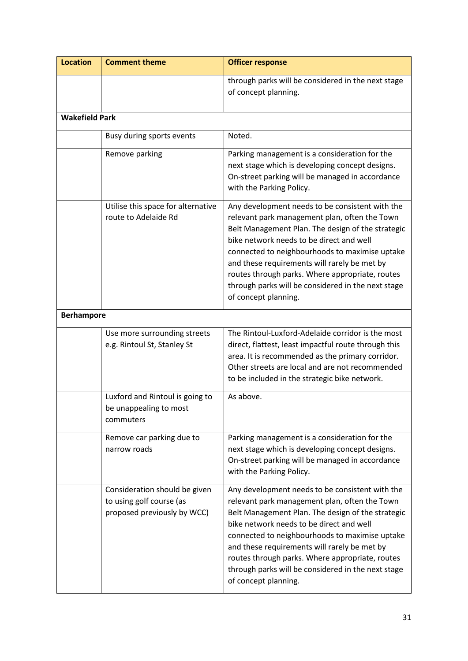| <b>Location</b>       | <b>Comment theme</b>                                                                     | <b>Officer response</b>                                                                                                                                                                                                                                                                                                                                                                                                              |
|-----------------------|------------------------------------------------------------------------------------------|--------------------------------------------------------------------------------------------------------------------------------------------------------------------------------------------------------------------------------------------------------------------------------------------------------------------------------------------------------------------------------------------------------------------------------------|
|                       |                                                                                          | through parks will be considered in the next stage<br>of concept planning.                                                                                                                                                                                                                                                                                                                                                           |
| <b>Wakefield Park</b> |                                                                                          |                                                                                                                                                                                                                                                                                                                                                                                                                                      |
|                       | Busy during sports events                                                                | Noted.                                                                                                                                                                                                                                                                                                                                                                                                                               |
|                       | Remove parking                                                                           | Parking management is a consideration for the<br>next stage which is developing concept designs.<br>On-street parking will be managed in accordance<br>with the Parking Policy.                                                                                                                                                                                                                                                      |
|                       | Utilise this space for alternative<br>route to Adelaide Rd                               | Any development needs to be consistent with the<br>relevant park management plan, often the Town<br>Belt Management Plan. The design of the strategic<br>bike network needs to be direct and well<br>connected to neighbourhoods to maximise uptake<br>and these requirements will rarely be met by<br>routes through parks. Where appropriate, routes<br>through parks will be considered in the next stage<br>of concept planning. |
| <b>Berhampore</b>     |                                                                                          |                                                                                                                                                                                                                                                                                                                                                                                                                                      |
|                       | Use more surrounding streets<br>e.g. Rintoul St, Stanley St                              | The Rintoul-Luxford-Adelaide corridor is the most<br>direct, flattest, least impactful route through this<br>area. It is recommended as the primary corridor.<br>Other streets are local and are not recommended<br>to be included in the strategic bike network.                                                                                                                                                                    |
|                       | Luxford and Rintoul is going to<br>be unappealing to most<br>commuters                   | As above.                                                                                                                                                                                                                                                                                                                                                                                                                            |
|                       | Remove car parking due to<br>narrow roads                                                | Parking management is a consideration for the<br>next stage which is developing concept designs.<br>On-street parking will be managed in accordance<br>with the Parking Policy.                                                                                                                                                                                                                                                      |
|                       | Consideration should be given<br>to using golf course (as<br>proposed previously by WCC) | Any development needs to be consistent with the<br>relevant park management plan, often the Town<br>Belt Management Plan. The design of the strategic<br>bike network needs to be direct and well<br>connected to neighbourhoods to maximise uptake<br>and these requirements will rarely be met by<br>routes through parks. Where appropriate, routes<br>through parks will be considered in the next stage<br>of concept planning. |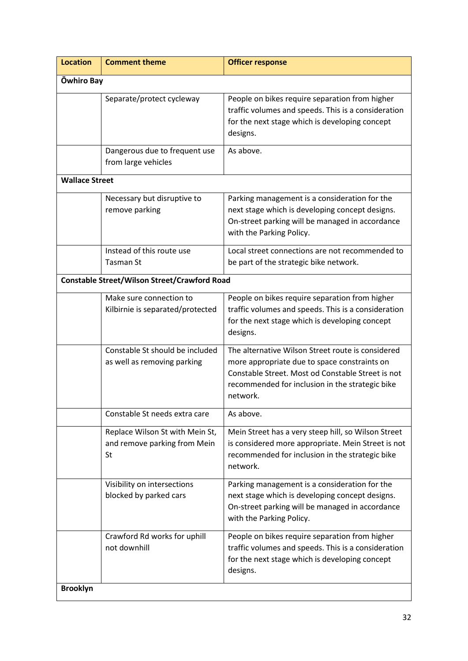| <b>Location</b>       | <b>Comment theme</b>                                                  | <b>Officer response</b>                                                                                                                                                                                               |  |
|-----------------------|-----------------------------------------------------------------------|-----------------------------------------------------------------------------------------------------------------------------------------------------------------------------------------------------------------------|--|
|                       | <b>Owhiro Bay</b>                                                     |                                                                                                                                                                                                                       |  |
|                       | Separate/protect cycleway                                             | People on bikes require separation from higher<br>traffic volumes and speeds. This is a consideration<br>for the next stage which is developing concept<br>designs.                                                   |  |
|                       | Dangerous due to frequent use<br>from large vehicles                  | As above.                                                                                                                                                                                                             |  |
| <b>Wallace Street</b> |                                                                       |                                                                                                                                                                                                                       |  |
|                       | Necessary but disruptive to<br>remove parking                         | Parking management is a consideration for the<br>next stage which is developing concept designs.<br>On-street parking will be managed in accordance<br>with the Parking Policy.                                       |  |
|                       | Instead of this route use<br>Tasman St                                | Local street connections are not recommended to<br>be part of the strategic bike network.                                                                                                                             |  |
|                       | <b>Constable Street/Wilson Street/Crawford Road</b>                   |                                                                                                                                                                                                                       |  |
|                       | Make sure connection to<br>Kilbirnie is separated/protected           | People on bikes require separation from higher<br>traffic volumes and speeds. This is a consideration<br>for the next stage which is developing concept<br>designs.                                                   |  |
|                       | Constable St should be included<br>as well as removing parking        | The alternative Wilson Street route is considered<br>more appropriate due to space constraints on<br>Constable Street. Most od Constable Street is not<br>recommended for inclusion in the strategic bike<br>network. |  |
|                       | Constable St needs extra care                                         | As above.                                                                                                                                                                                                             |  |
|                       | Replace Wilson St with Mein St,<br>and remove parking from Mein<br>St | Mein Street has a very steep hill, so Wilson Street<br>is considered more appropriate. Mein Street is not<br>recommended for inclusion in the strategic bike<br>network.                                              |  |
|                       | Visibility on intersections<br>blocked by parked cars                 | Parking management is a consideration for the<br>next stage which is developing concept designs.<br>On-street parking will be managed in accordance<br>with the Parking Policy.                                       |  |
|                       | Crawford Rd works for uphill<br>not downhill                          | People on bikes require separation from higher<br>traffic volumes and speeds. This is a consideration<br>for the next stage which is developing concept<br>designs.                                                   |  |
| <b>Brooklyn</b>       |                                                                       |                                                                                                                                                                                                                       |  |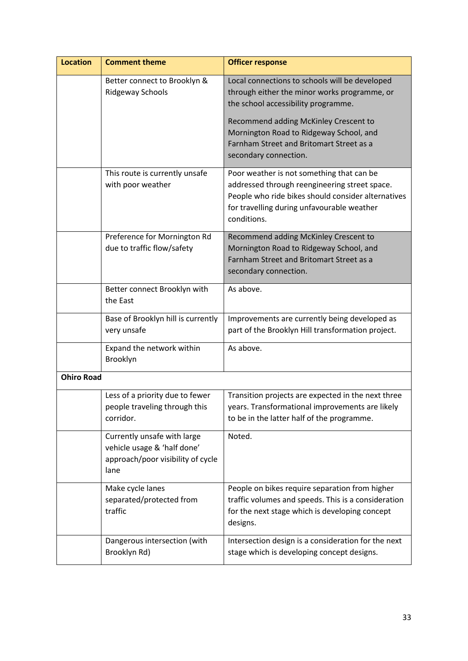| <b>Location</b>   | <b>Comment theme</b>                                                                                    | <b>Officer response</b>                                                                                                                                                                                       |
|-------------------|---------------------------------------------------------------------------------------------------------|---------------------------------------------------------------------------------------------------------------------------------------------------------------------------------------------------------------|
|                   | Better connect to Brooklyn &<br><b>Ridgeway Schools</b>                                                 | Local connections to schools will be developed<br>through either the minor works programme, or<br>the school accessibility programme.                                                                         |
|                   |                                                                                                         | Recommend adding McKinley Crescent to<br>Mornington Road to Ridgeway School, and<br>Farnham Street and Britomart Street as a<br>secondary connection.                                                         |
|                   | This route is currently unsafe<br>with poor weather                                                     | Poor weather is not something that can be<br>addressed through reengineering street space.<br>People who ride bikes should consider alternatives<br>for travelling during unfavourable weather<br>conditions. |
|                   | Preference for Mornington Rd<br>due to traffic flow/safety                                              | Recommend adding McKinley Crescent to<br>Mornington Road to Ridgeway School, and<br>Farnham Street and Britomart Street as a<br>secondary connection.                                                         |
|                   | Better connect Brooklyn with<br>the East                                                                | As above.                                                                                                                                                                                                     |
|                   | Base of Brooklyn hill is currently<br>very unsafe                                                       | Improvements are currently being developed as<br>part of the Brooklyn Hill transformation project.                                                                                                            |
|                   | Expand the network within<br>Brooklyn                                                                   | As above.                                                                                                                                                                                                     |
| <b>Ohiro Road</b> |                                                                                                         |                                                                                                                                                                                                               |
|                   | Less of a priority due to fewer<br>people traveling through this<br>corridor.                           | Transition projects are expected in the next three<br>years. Transformational improvements are likely<br>to be in the latter half of the programme.                                                           |
|                   | Currently unsafe with large<br>vehicle usage & 'half done'<br>approach/poor visibility of cycle<br>lane | Noted.                                                                                                                                                                                                        |
|                   | Make cycle lanes<br>separated/protected from<br>traffic                                                 | People on bikes require separation from higher<br>traffic volumes and speeds. This is a consideration<br>for the next stage which is developing concept<br>designs.                                           |
|                   | Dangerous intersection (with<br>Brooklyn Rd)                                                            | Intersection design is a consideration for the next<br>stage which is developing concept designs.                                                                                                             |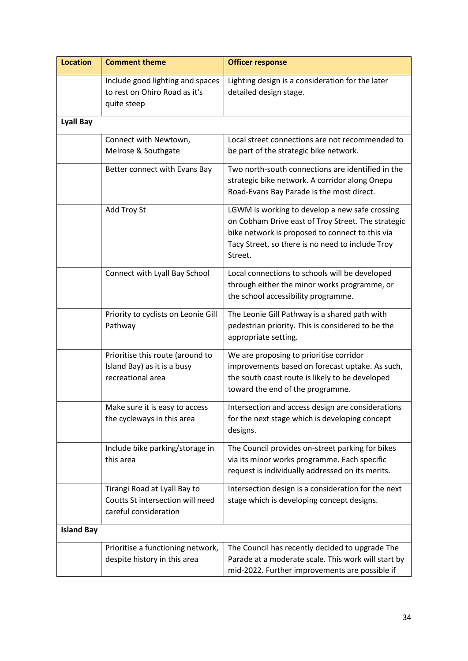| <b>Location</b>   | <b>Comment theme</b>                                                                      | <b>Officer response</b>                                                                                                                                                                                                |
|-------------------|-------------------------------------------------------------------------------------------|------------------------------------------------------------------------------------------------------------------------------------------------------------------------------------------------------------------------|
|                   | Include good lighting and spaces<br>to rest on Ohiro Road as it's<br>quite steep          | Lighting design is a consideration for the later<br>detailed design stage.                                                                                                                                             |
| <b>Lyall Bay</b>  |                                                                                           |                                                                                                                                                                                                                        |
|                   | Connect with Newtown,<br>Melrose & Southgate                                              | Local street connections are not recommended to<br>be part of the strategic bike network.                                                                                                                              |
|                   | Better connect with Evans Bay                                                             | Two north-south connections are identified in the<br>strategic bike network. A corridor along Onepu<br>Road-Evans Bay Parade is the most direct.                                                                       |
|                   | Add Troy St                                                                               | LGWM is working to develop a new safe crossing<br>on Cobham Drive east of Troy Street. The strategic<br>bike network is proposed to connect to this via<br>Tacy Street, so there is no need to include Troy<br>Street. |
|                   | Connect with Lyall Bay School                                                             | Local connections to schools will be developed<br>through either the minor works programme, or<br>the school accessibility programme.                                                                                  |
|                   | Priority to cyclists on Leonie Gill<br>Pathway                                            | The Leonie Gill Pathway is a shared path with<br>pedestrian priority. This is considered to be the<br>appropriate setting.                                                                                             |
|                   | Prioritise this route (around to<br>Island Bay) as it is a busy<br>recreational area      | We are proposing to prioritise corridor<br>improvements based on forecast uptake. As such,<br>the south coast route is likely to be developed<br>toward the end of the programme.                                      |
|                   | Make sure it is easy to access<br>the cycleways in this area                              | Intersection and access design are considerations<br>for the next stage which is developing concept<br>designs.                                                                                                        |
|                   | Include bike parking/storage in<br>this area                                              | The Council provides on-street parking for bikes<br>via its minor works programme. Each specific<br>request is individually addressed on its merits.                                                                   |
|                   | Tirangi Road at Lyall Bay to<br>Coutts St intersection will need<br>careful consideration | Intersection design is a consideration for the next<br>stage which is developing concept designs.                                                                                                                      |
| <b>Island Bay</b> |                                                                                           |                                                                                                                                                                                                                        |
|                   | Prioritise a functioning network,<br>despite history in this area                         | The Council has recently decided to upgrade The<br>Parade at a moderate scale. This work will start by<br>mid-2022. Further improvements are possible if                                                               |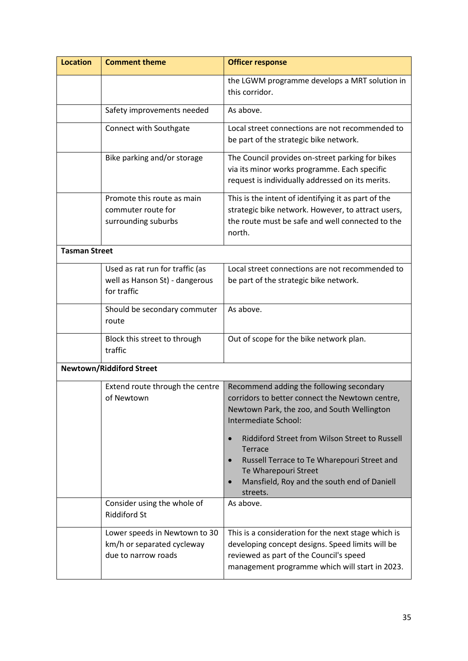| <b>Location</b>      | <b>Comment theme</b>                                                               | <b>Officer response</b>                                                                                                                                                                                                                                                                                                          |
|----------------------|------------------------------------------------------------------------------------|----------------------------------------------------------------------------------------------------------------------------------------------------------------------------------------------------------------------------------------------------------------------------------------------------------------------------------|
|                      |                                                                                    | the LGWM programme develops a MRT solution in<br>this corridor.                                                                                                                                                                                                                                                                  |
|                      | Safety improvements needed                                                         | As above.                                                                                                                                                                                                                                                                                                                        |
|                      | Connect with Southgate                                                             | Local street connections are not recommended to<br>be part of the strategic bike network.                                                                                                                                                                                                                                        |
|                      | Bike parking and/or storage                                                        | The Council provides on-street parking for bikes<br>via its minor works programme. Each specific<br>request is individually addressed on its merits.                                                                                                                                                                             |
|                      | Promote this route as main<br>commuter route for<br>surrounding suburbs            | This is the intent of identifying it as part of the<br>strategic bike network. However, to attract users,<br>the route must be safe and well connected to the<br>north.                                                                                                                                                          |
| <b>Tasman Street</b> |                                                                                    |                                                                                                                                                                                                                                                                                                                                  |
|                      | Used as rat run for traffic (as<br>well as Hanson St) - dangerous<br>for traffic   | Local street connections are not recommended to<br>be part of the strategic bike network.                                                                                                                                                                                                                                        |
|                      | Should be secondary commuter<br>route                                              | As above.                                                                                                                                                                                                                                                                                                                        |
|                      | Block this street to through<br>traffic                                            | Out of scope for the bike network plan.                                                                                                                                                                                                                                                                                          |
|                      | <b>Newtown/Riddiford Street</b>                                                    |                                                                                                                                                                                                                                                                                                                                  |
|                      | Extend route through the centre<br>of Newtown                                      | Recommend adding the following secondary<br>corridors to better connect the Newtown centre,<br>Newtown Park, the zoo, and South Wellington<br>Intermediate School:<br>Riddiford Street from Wilson Street to Russell<br>$\bullet$<br>Terrace<br>Russell Terrace to Te Wharepouri Street and<br>$\bullet$<br>Te Wharepouri Street |
|                      |                                                                                    | Mansfield, Roy and the south end of Daniell<br>streets.                                                                                                                                                                                                                                                                          |
|                      | Consider using the whole of<br><b>Riddiford St</b>                                 | As above.                                                                                                                                                                                                                                                                                                                        |
|                      | Lower speeds in Newtown to 30<br>km/h or separated cycleway<br>due to narrow roads | This is a consideration for the next stage which is<br>developing concept designs. Speed limits will be<br>reviewed as part of the Council's speed<br>management programme which will start in 2023.                                                                                                                             |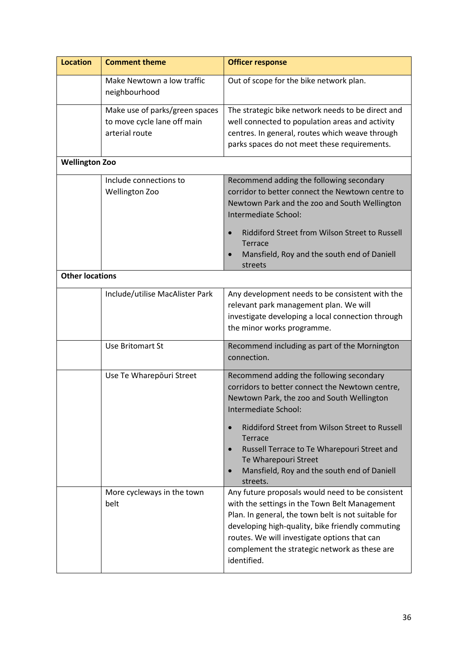| <b>Location</b>        | <b>Comment theme</b>                                                            | <b>Officer response</b>                                                                                                                                                                                                                                                                                                                                                                                                                                                                                                                                                                                                                                                                                                                 |
|------------------------|---------------------------------------------------------------------------------|-----------------------------------------------------------------------------------------------------------------------------------------------------------------------------------------------------------------------------------------------------------------------------------------------------------------------------------------------------------------------------------------------------------------------------------------------------------------------------------------------------------------------------------------------------------------------------------------------------------------------------------------------------------------------------------------------------------------------------------------|
|                        | Make Newtown a low traffic<br>neighbourhood                                     | Out of scope for the bike network plan.                                                                                                                                                                                                                                                                                                                                                                                                                                                                                                                                                                                                                                                                                                 |
|                        | Make use of parks/green spaces<br>to move cycle lane off main<br>arterial route | The strategic bike network needs to be direct and<br>well connected to population areas and activity<br>centres. In general, routes which weave through<br>parks spaces do not meet these requirements.                                                                                                                                                                                                                                                                                                                                                                                                                                                                                                                                 |
| <b>Wellington Zoo</b>  |                                                                                 |                                                                                                                                                                                                                                                                                                                                                                                                                                                                                                                                                                                                                                                                                                                                         |
|                        | Include connections to<br>Wellington Zoo                                        | Recommend adding the following secondary<br>corridor to better connect the Newtown centre to<br>Newtown Park and the zoo and South Wellington<br>Intermediate School:<br>Riddiford Street from Wilson Street to Russell<br>Terrace<br>Mansfield, Roy and the south end of Daniell<br>$\bullet$<br>streets                                                                                                                                                                                                                                                                                                                                                                                                                               |
| <b>Other locations</b> |                                                                                 |                                                                                                                                                                                                                                                                                                                                                                                                                                                                                                                                                                                                                                                                                                                                         |
|                        | Include/utilise MacAlister Park                                                 | Any development needs to be consistent with the<br>relevant park management plan. We will<br>investigate developing a local connection through<br>the minor works programme.                                                                                                                                                                                                                                                                                                                                                                                                                                                                                                                                                            |
|                        | <b>Use Britomart St</b>                                                         | Recommend including as part of the Mornington<br>connection.                                                                                                                                                                                                                                                                                                                                                                                                                                                                                                                                                                                                                                                                            |
|                        | Use Te Wharepouri Street<br>More cycleways in the town<br>belt                  | Recommend adding the following secondary<br>corridors to better connect the Newtown centre,<br>Newtown Park, the zoo and South Wellington<br>Intermediate School:<br>Riddiford Street from Wilson Street to Russell<br>$\bullet$<br>Terrace<br>Russell Terrace to Te Wharepouri Street and<br>$\bullet$<br>Te Wharepouri Street<br>Mansfield, Roy and the south end of Daniell<br>$\bullet$<br>streets.<br>Any future proposals would need to be consistent<br>with the settings in the Town Belt Management<br>Plan. In general, the town belt is not suitable for<br>developing high-quality, bike friendly commuting<br>routes. We will investigate options that can<br>complement the strategic network as these are<br>identified. |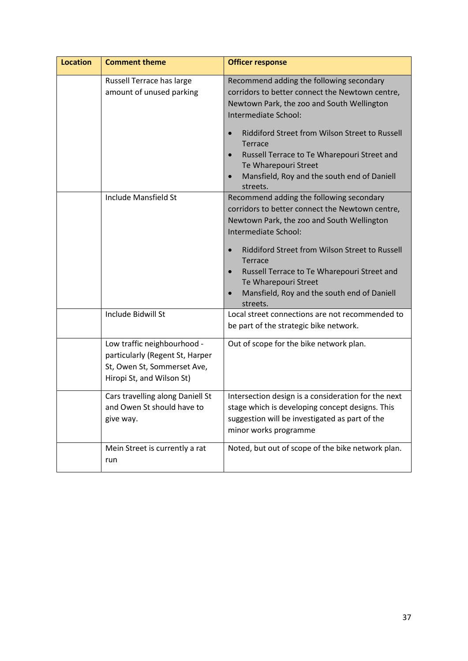| <b>Location</b> | <b>Comment theme</b>                                                                                                       | <b>Officer response</b>                                                                                                                                                                                                                                                                                                                                                 |
|-----------------|----------------------------------------------------------------------------------------------------------------------------|-------------------------------------------------------------------------------------------------------------------------------------------------------------------------------------------------------------------------------------------------------------------------------------------------------------------------------------------------------------------------|
|                 | Russell Terrace has large<br>amount of unused parking                                                                      | Recommend adding the following secondary<br>corridors to better connect the Newtown centre,<br>Newtown Park, the zoo and South Wellington<br>Intermediate School:<br>Riddiford Street from Wilson Street to Russell<br>Terrace<br>Russell Terrace to Te Wharepouri Street and<br>Te Wharepouri Street<br>Mansfield, Roy and the south end of Daniell<br>streets.        |
|                 | Include Mansfield St                                                                                                       | Recommend adding the following secondary<br>corridors to better connect the Newtown centre,<br>Newtown Park, the zoo and South Wellington<br>Intermediate School:<br>Riddiford Street from Wilson Street to Russell<br><b>Terrace</b><br>Russell Terrace to Te Wharepouri Street and<br>Te Wharepouri Street<br>Mansfield, Roy and the south end of Daniell<br>streets. |
|                 | Include Bidwill St                                                                                                         | Local street connections are not recommended to<br>be part of the strategic bike network.                                                                                                                                                                                                                                                                               |
|                 | Low traffic neighbourhood -<br>particularly (Regent St, Harper<br>St, Owen St, Sommerset Ave,<br>Hiropi St, and Wilson St) | Out of scope for the bike network plan.                                                                                                                                                                                                                                                                                                                                 |
|                 | Cars travelling along Daniell St<br>and Owen St should have to<br>give way.                                                | Intersection design is a consideration for the next<br>stage which is developing concept designs. This<br>suggestion will be investigated as part of the<br>minor works programme                                                                                                                                                                                       |
|                 | Mein Street is currently a rat<br>run                                                                                      | Noted, but out of scope of the bike network plan.                                                                                                                                                                                                                                                                                                                       |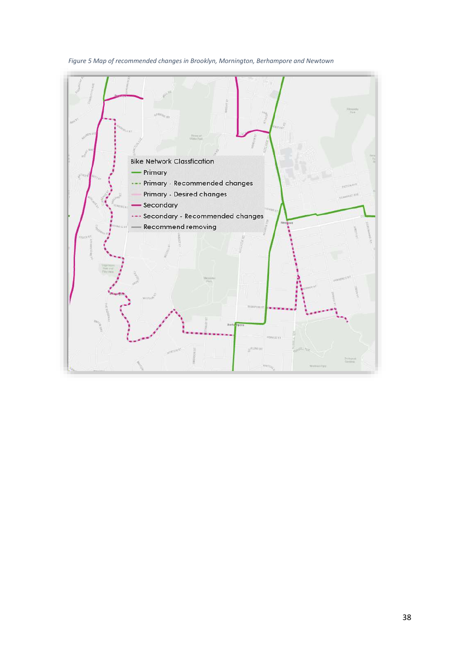### *Figure 5 Map of recommended changes in Brooklyn, Mornington, Berhampore and Newtown*

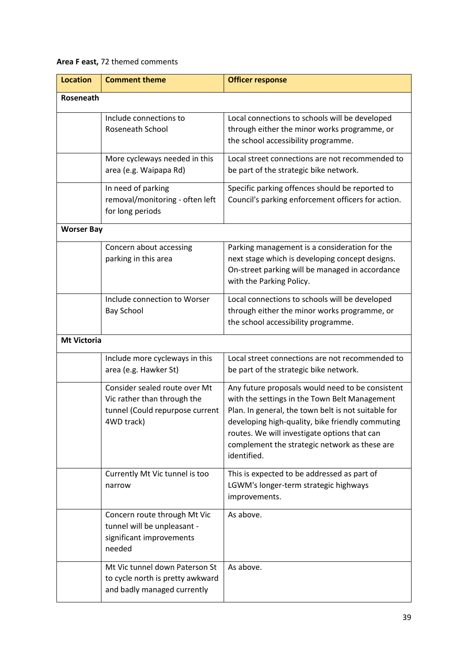### **Area F east,** 72 themed comments

| <b>Location</b>    | <b>Comment theme</b>                                                                                          | <b>Officer response</b>                                                                                                                                                                                                                                                                                                      |
|--------------------|---------------------------------------------------------------------------------------------------------------|------------------------------------------------------------------------------------------------------------------------------------------------------------------------------------------------------------------------------------------------------------------------------------------------------------------------------|
| Roseneath          |                                                                                                               |                                                                                                                                                                                                                                                                                                                              |
|                    | Include connections to<br><b>Roseneath School</b>                                                             | Local connections to schools will be developed<br>through either the minor works programme, or<br>the school accessibility programme.                                                                                                                                                                                        |
|                    | More cycleways needed in this<br>area (e.g. Waipapa Rd)                                                       | Local street connections are not recommended to<br>be part of the strategic bike network.                                                                                                                                                                                                                                    |
|                    | In need of parking<br>removal/monitoring - often left<br>for long periods                                     | Specific parking offences should be reported to<br>Council's parking enforcement officers for action.                                                                                                                                                                                                                        |
| <b>Worser Bay</b>  |                                                                                                               |                                                                                                                                                                                                                                                                                                                              |
|                    | Concern about accessing<br>parking in this area                                                               | Parking management is a consideration for the<br>next stage which is developing concept designs.<br>On-street parking will be managed in accordance<br>with the Parking Policy.                                                                                                                                              |
|                    | Include connection to Worser<br><b>Bay School</b>                                                             | Local connections to schools will be developed<br>through either the minor works programme, or<br>the school accessibility programme.                                                                                                                                                                                        |
| <b>Mt Victoria</b> |                                                                                                               |                                                                                                                                                                                                                                                                                                                              |
|                    | Include more cycleways in this<br>area (e.g. Hawker St)                                                       | Local street connections are not recommended to<br>be part of the strategic bike network.                                                                                                                                                                                                                                    |
|                    | Consider sealed route over Mt<br>Vic rather than through the<br>tunnel (Could repurpose current<br>4WD track) | Any future proposals would need to be consistent<br>with the settings in the Town Belt Management<br>Plan. In general, the town belt is not suitable for<br>developing high-quality, bike friendly commuting<br>routes. We will investigate options that can<br>complement the strategic network as these are<br>identified. |
|                    | Currently Mt Vic tunnel is too<br>narrow                                                                      | This is expected to be addressed as part of<br>LGWM's longer-term strategic highways<br>improvements.                                                                                                                                                                                                                        |
|                    | Concern route through Mt Vic<br>tunnel will be unpleasant -<br>significant improvements<br>needed             | As above.                                                                                                                                                                                                                                                                                                                    |
|                    | Mt Vic tunnel down Paterson St<br>to cycle north is pretty awkward<br>and badly managed currently             | As above.                                                                                                                                                                                                                                                                                                                    |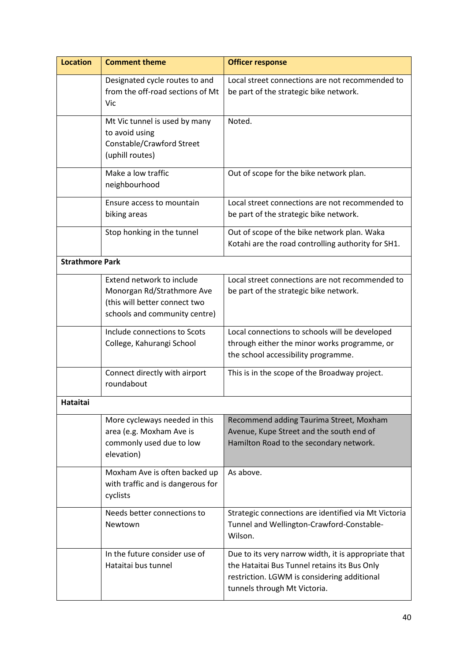| <b>Location</b>        | <b>Comment theme</b>                                                                                                      | <b>Officer response</b>                                                                                                                                                             |
|------------------------|---------------------------------------------------------------------------------------------------------------------------|-------------------------------------------------------------------------------------------------------------------------------------------------------------------------------------|
|                        | Designated cycle routes to and<br>from the off-road sections of Mt<br>Vic                                                 | Local street connections are not recommended to<br>be part of the strategic bike network.                                                                                           |
|                        | Mt Vic tunnel is used by many<br>to avoid using<br>Constable/Crawford Street<br>(uphill routes)                           | Noted.                                                                                                                                                                              |
|                        | Make a low traffic<br>neighbourhood                                                                                       | Out of scope for the bike network plan.                                                                                                                                             |
|                        | Ensure access to mountain<br>biking areas                                                                                 | Local street connections are not recommended to<br>be part of the strategic bike network.                                                                                           |
|                        | Stop honking in the tunnel                                                                                                | Out of scope of the bike network plan. Waka<br>Kotahi are the road controlling authority for SH1.                                                                                   |
| <b>Strathmore Park</b> |                                                                                                                           |                                                                                                                                                                                     |
|                        | Extend network to include<br>Monorgan Rd/Strathmore Ave<br>(this will better connect two<br>schools and community centre) | Local street connections are not recommended to<br>be part of the strategic bike network.                                                                                           |
|                        | Include connections to Scots<br>College, Kahurangi School                                                                 | Local connections to schools will be developed<br>through either the minor works programme, or<br>the school accessibility programme.                                               |
|                        | Connect directly with airport<br>roundabout                                                                               | This is in the scope of the Broadway project.                                                                                                                                       |
| <b>Hataitai</b>        |                                                                                                                           |                                                                                                                                                                                     |
|                        | More cycleways needed in this<br>area (e.g. Moxham Ave is<br>commonly used due to low<br>elevation)                       | Recommend adding Taurima Street, Moxham<br>Avenue, Kupe Street and the south end of<br>Hamilton Road to the secondary network.                                                      |
|                        | Moxham Ave is often backed up<br>with traffic and is dangerous for<br>cyclists                                            | As above.                                                                                                                                                                           |
|                        | Needs better connections to<br>Newtown                                                                                    | Strategic connections are identified via Mt Victoria<br>Tunnel and Wellington-Crawford-Constable-<br>Wilson.                                                                        |
|                        | In the future consider use of<br>Hataitai bus tunnel                                                                      | Due to its very narrow width, it is appropriate that<br>the Hataitai Bus Tunnel retains its Bus Only<br>restriction. LGWM is considering additional<br>tunnels through Mt Victoria. |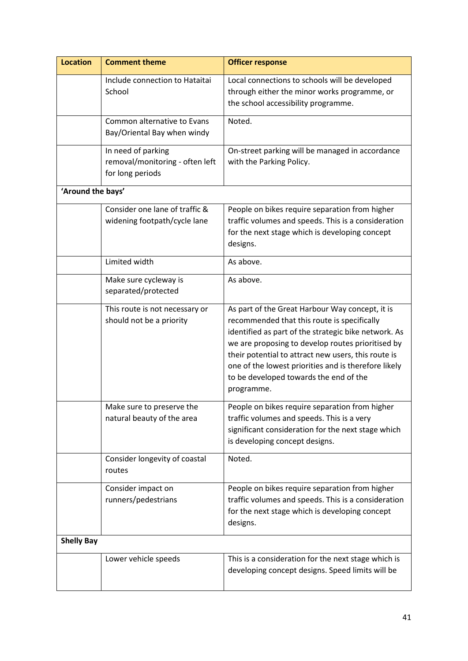| <b>Location</b>   | <b>Comment theme</b>                                                      | <b>Officer response</b>                                                                                                                                                                                                                                                                                                                                                            |
|-------------------|---------------------------------------------------------------------------|------------------------------------------------------------------------------------------------------------------------------------------------------------------------------------------------------------------------------------------------------------------------------------------------------------------------------------------------------------------------------------|
|                   | Include connection to Hataitai<br>School                                  | Local connections to schools will be developed<br>through either the minor works programme, or<br>the school accessibility programme.                                                                                                                                                                                                                                              |
|                   | Common alternative to Evans<br>Bay/Oriental Bay when windy                | Noted.                                                                                                                                                                                                                                                                                                                                                                             |
|                   | In need of parking<br>removal/monitoring - often left<br>for long periods | On-street parking will be managed in accordance<br>with the Parking Policy.                                                                                                                                                                                                                                                                                                        |
| 'Around the bays' |                                                                           |                                                                                                                                                                                                                                                                                                                                                                                    |
|                   | Consider one lane of traffic &<br>widening footpath/cycle lane            | People on bikes require separation from higher<br>traffic volumes and speeds. This is a consideration<br>for the next stage which is developing concept<br>designs.                                                                                                                                                                                                                |
|                   | Limited width                                                             | As above.                                                                                                                                                                                                                                                                                                                                                                          |
|                   | Make sure cycleway is<br>separated/protected                              | As above.                                                                                                                                                                                                                                                                                                                                                                          |
|                   | This route is not necessary or<br>should not be a priority                | As part of the Great Harbour Way concept, it is<br>recommended that this route is specifically<br>identified as part of the strategic bike network. As<br>we are proposing to develop routes prioritised by<br>their potential to attract new users, this route is<br>one of the lowest priorities and is therefore likely<br>to be developed towards the end of the<br>programme. |
|                   | Make sure to preserve the<br>natural beauty of the area                   | People on bikes require separation from higher<br>traffic volumes and speeds. This is a very<br>significant consideration for the next stage which<br>is developing concept designs.                                                                                                                                                                                               |
|                   | Consider longevity of coastal<br>routes                                   | Noted.                                                                                                                                                                                                                                                                                                                                                                             |
|                   | Consider impact on<br>runners/pedestrians                                 | People on bikes require separation from higher<br>traffic volumes and speeds. This is a consideration<br>for the next stage which is developing concept<br>designs.                                                                                                                                                                                                                |
| <b>Shelly Bay</b> |                                                                           |                                                                                                                                                                                                                                                                                                                                                                                    |
|                   | Lower vehicle speeds                                                      | This is a consideration for the next stage which is<br>developing concept designs. Speed limits will be                                                                                                                                                                                                                                                                            |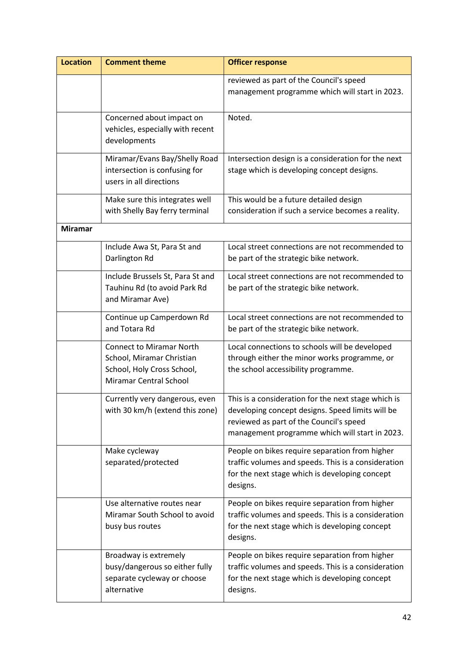| <b>Location</b> | <b>Comment theme</b>                                                                                                        | <b>Officer response</b>                                                                                                                                                                              |
|-----------------|-----------------------------------------------------------------------------------------------------------------------------|------------------------------------------------------------------------------------------------------------------------------------------------------------------------------------------------------|
|                 |                                                                                                                             | reviewed as part of the Council's speed<br>management programme which will start in 2023.                                                                                                            |
|                 | Concerned about impact on<br>vehicles, especially with recent<br>developments                                               | Noted.                                                                                                                                                                                               |
|                 | Miramar/Evans Bay/Shelly Road<br>intersection is confusing for<br>users in all directions                                   | Intersection design is a consideration for the next<br>stage which is developing concept designs.                                                                                                    |
|                 | Make sure this integrates well<br>with Shelly Bay ferry terminal                                                            | This would be a future detailed design<br>consideration if such a service becomes a reality.                                                                                                         |
| <b>Miramar</b>  |                                                                                                                             |                                                                                                                                                                                                      |
|                 | Include Awa St, Para St and<br>Darlington Rd                                                                                | Local street connections are not recommended to<br>be part of the strategic bike network.                                                                                                            |
|                 | Include Brussels St, Para St and<br>Tauhinu Rd (to avoid Park Rd<br>and Miramar Ave)                                        | Local street connections are not recommended to<br>be part of the strategic bike network.                                                                                                            |
|                 | Continue up Camperdown Rd<br>and Totara Rd                                                                                  | Local street connections are not recommended to<br>be part of the strategic bike network.                                                                                                            |
|                 | <b>Connect to Miramar North</b><br>School, Miramar Christian<br>School, Holy Cross School,<br><b>Miramar Central School</b> | Local connections to schools will be developed<br>through either the minor works programme, or<br>the school accessibility programme.                                                                |
|                 | Currently very dangerous, even<br>with 30 km/h (extend this zone)                                                           | This is a consideration for the next stage which is<br>developing concept designs. Speed limits will be<br>reviewed as part of the Council's speed<br>management programme which will start in 2023. |
|                 | Make cycleway<br>separated/protected                                                                                        | People on bikes require separation from higher<br>traffic volumes and speeds. This is a consideration<br>for the next stage which is developing concept<br>designs.                                  |
|                 | Use alternative routes near<br>Miramar South School to avoid<br>busy bus routes                                             | People on bikes require separation from higher<br>traffic volumes and speeds. This is a consideration<br>for the next stage which is developing concept<br>designs.                                  |
|                 | Broadway is extremely<br>busy/dangerous so either fully<br>separate cycleway or choose<br>alternative                       | People on bikes require separation from higher<br>traffic volumes and speeds. This is a consideration<br>for the next stage which is developing concept<br>designs.                                  |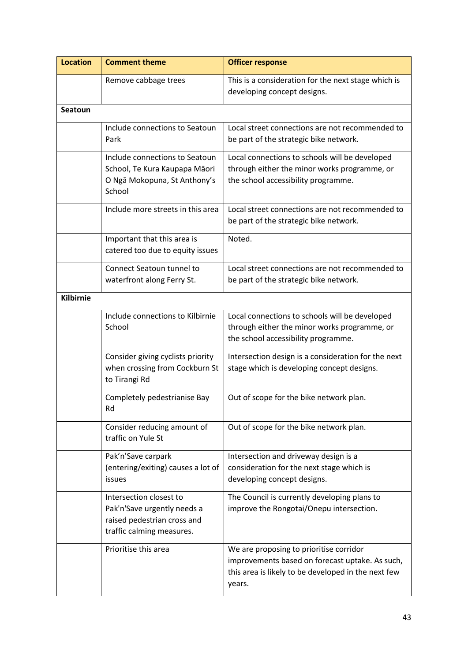| <b>Location</b>  | <b>Comment theme</b>                                                                                               | <b>Officer response</b>                                                                                                                                     |
|------------------|--------------------------------------------------------------------------------------------------------------------|-------------------------------------------------------------------------------------------------------------------------------------------------------------|
|                  | Remove cabbage trees                                                                                               | This is a consideration for the next stage which is<br>developing concept designs.                                                                          |
| <b>Seatoun</b>   |                                                                                                                    |                                                                                                                                                             |
|                  | Include connections to Seatoun<br>Park                                                                             | Local street connections are not recommended to<br>be part of the strategic bike network.                                                                   |
|                  | Include connections to Seatoun<br>School, Te Kura Kaupapa Māori<br>O Ngā Mokopuna, St Anthony's<br>School          | Local connections to schools will be developed<br>through either the minor works programme, or<br>the school accessibility programme.                       |
|                  | Include more streets in this area                                                                                  | Local street connections are not recommended to<br>be part of the strategic bike network.                                                                   |
|                  | Important that this area is<br>catered too due to equity issues                                                    | Noted.                                                                                                                                                      |
|                  | Connect Seatoun tunnel to<br>waterfront along Ferry St.                                                            | Local street connections are not recommended to<br>be part of the strategic bike network.                                                                   |
| <b>Kilbirnie</b> |                                                                                                                    |                                                                                                                                                             |
|                  | Include connections to Kilbirnie<br>School                                                                         | Local connections to schools will be developed<br>through either the minor works programme, or<br>the school accessibility programme.                       |
|                  | Consider giving cyclists priority<br>when crossing from Cockburn St<br>to Tirangi Rd                               | Intersection design is a consideration for the next<br>stage which is developing concept designs.                                                           |
|                  | Completely pedestrianise Bay<br>Rd                                                                                 | Out of scope for the bike network plan.                                                                                                                     |
|                  | Consider reducing amount of<br>traffic on Yule St                                                                  | Out of scope for the bike network plan.                                                                                                                     |
|                  | Pak'n'Save carpark<br>(entering/exiting) causes a lot of<br>issues                                                 | Intersection and driveway design is a<br>consideration for the next stage which is<br>developing concept designs.                                           |
|                  | Intersection closest to<br>Pak'n'Save urgently needs a<br>raised pedestrian cross and<br>traffic calming measures. | The Council is currently developing plans to<br>improve the Rongotai/Onepu intersection.                                                                    |
|                  | Prioritise this area                                                                                               | We are proposing to prioritise corridor<br>improvements based on forecast uptake. As such,<br>this area is likely to be developed in the next few<br>years. |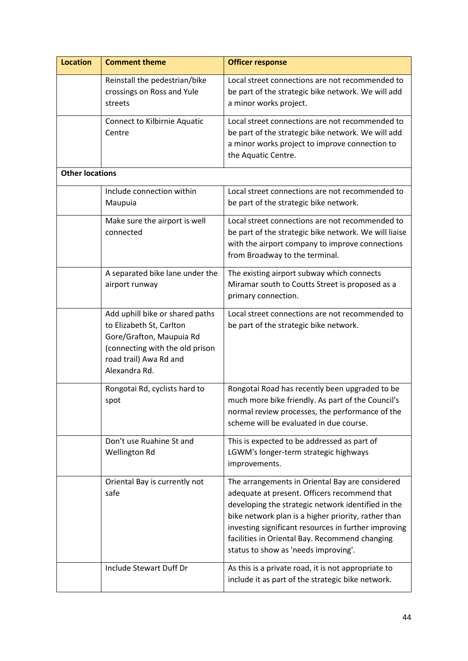| <b>Location</b>        | <b>Comment theme</b>                                                                                                                                                  | <b>Officer response</b>                                                                                                                                                                                                                                                                                                                                        |
|------------------------|-----------------------------------------------------------------------------------------------------------------------------------------------------------------------|----------------------------------------------------------------------------------------------------------------------------------------------------------------------------------------------------------------------------------------------------------------------------------------------------------------------------------------------------------------|
|                        | Reinstall the pedestrian/bike<br>crossings on Ross and Yule<br>streets                                                                                                | Local street connections are not recommended to<br>be part of the strategic bike network. We will add<br>a minor works project.                                                                                                                                                                                                                                |
|                        | <b>Connect to Kilbirnie Aquatic</b><br>Centre                                                                                                                         | Local street connections are not recommended to<br>be part of the strategic bike network. We will add<br>a minor works project to improve connection to<br>the Aquatic Centre.                                                                                                                                                                                 |
| <b>Other locations</b> |                                                                                                                                                                       |                                                                                                                                                                                                                                                                                                                                                                |
|                        | Include connection within<br>Maupuia                                                                                                                                  | Local street connections are not recommended to<br>be part of the strategic bike network.                                                                                                                                                                                                                                                                      |
|                        | Make sure the airport is well<br>connected                                                                                                                            | Local street connections are not recommended to<br>be part of the strategic bike network. We will liaise<br>with the airport company to improve connections<br>from Broadway to the terminal.                                                                                                                                                                  |
|                        | A separated bike lane under the<br>airport runway                                                                                                                     | The existing airport subway which connects<br>Miramar south to Coutts Street is proposed as a<br>primary connection.                                                                                                                                                                                                                                           |
|                        | Add uphill bike or shared paths<br>to Elizabeth St, Carlton<br>Gore/Grafton, Maupuia Rd<br>(connecting with the old prison<br>road trail) Awa Rd and<br>Alexandra Rd. | Local street connections are not recommended to<br>be part of the strategic bike network.                                                                                                                                                                                                                                                                      |
|                        | Rongotai Rd, cyclists hard to<br>spot                                                                                                                                 | Rongotai Road has recently been upgraded to be<br>much more bike friendly. As part of the Council's<br>normal review processes, the performance of the<br>scheme will be evaluated in due course.                                                                                                                                                              |
|                        | Don't use Ruahine St and<br>Wellington Rd                                                                                                                             | This is expected to be addressed as part of<br>LGWM's longer-term strategic highways<br>improvements.                                                                                                                                                                                                                                                          |
|                        | Oriental Bay is currently not<br>safe                                                                                                                                 | The arrangements in Oriental Bay are considered<br>adequate at present. Officers recommend that<br>developing the strategic network identified in the<br>bike network plan is a higher priority, rather than<br>investing significant resources in further improving<br>facilities in Oriental Bay. Recommend changing<br>status to show as 'needs improving'. |
|                        | Include Stewart Duff Dr                                                                                                                                               | As this is a private road, it is not appropriate to<br>include it as part of the strategic bike network.                                                                                                                                                                                                                                                       |